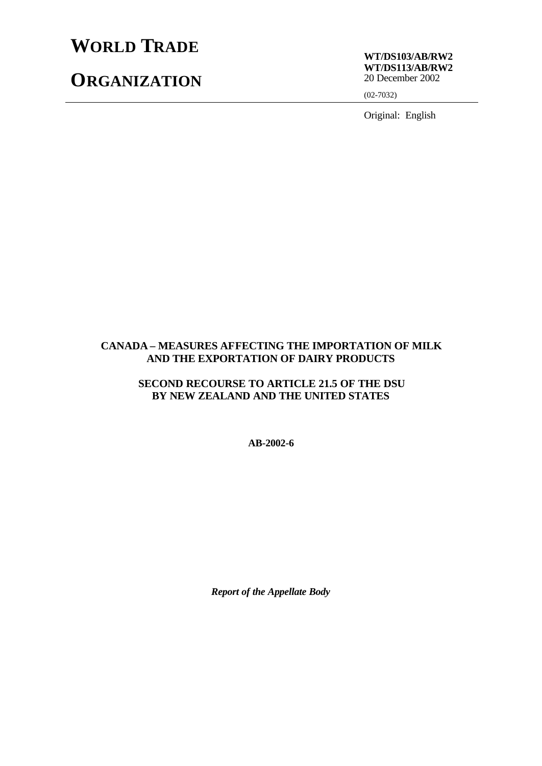# **WORLD TRADE**

**ORGANIZATION**

**WT/DS103/AB/RW2 WT/DS113/AB/RW2** 20 December 2002

(02-7032)

Original: English

# **CANADA – MEASURES AFFECTING THE IMPORTATION OF MILK AND THE EXPORTATION OF DAIRY PRODUCTS**

# **SECOND RECOURSE TO ARTICLE 21.5 OF THE DSU BY NEW ZEALAND AND THE UNITED STATES**

**AB-2002-6**

*Report of the Appellate Body*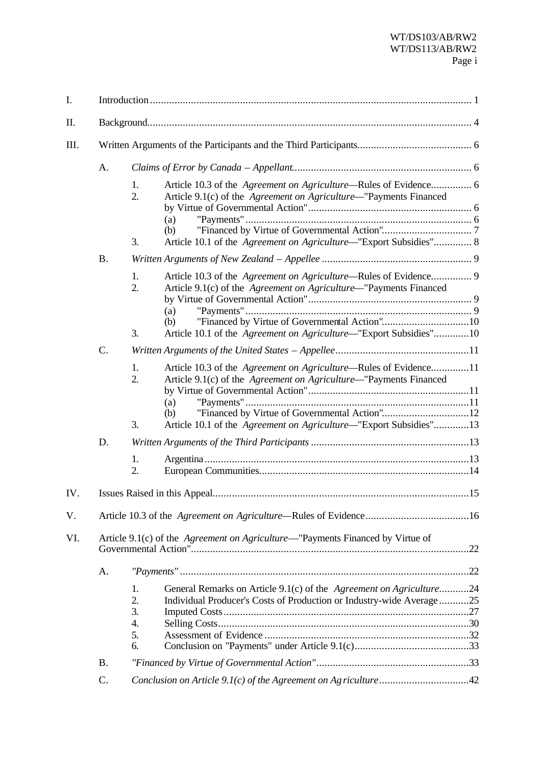| I.   |                 |                                                                                                                                                                                                                                                                                             |  |  |
|------|-----------------|---------------------------------------------------------------------------------------------------------------------------------------------------------------------------------------------------------------------------------------------------------------------------------------------|--|--|
| II.  |                 |                                                                                                                                                                                                                                                                                             |  |  |
| III. |                 |                                                                                                                                                                                                                                                                                             |  |  |
|      | A.              |                                                                                                                                                                                                                                                                                             |  |  |
|      |                 | 1.<br>2.<br>Article 9.1(c) of the Agreement on Agriculture—"Payments Financed<br>(a)<br>(b)<br>Article 10.1 of the Agreement on Agriculture-"Export Subsidies" 8<br>3.                                                                                                                      |  |  |
|      | <b>B.</b>       |                                                                                                                                                                                                                                                                                             |  |  |
|      |                 | Article 10.3 of the Agreement on Agriculture-Rules of Evidence 9<br>1.<br>$\overline{2}$ .<br>Article 9.1(c) of the Agreement on Agriculture—"Payments Financed<br>(a)<br>(b)<br>Article 10.1 of the Agreement on Agriculture—"Export Subsidies"10<br>3.                                    |  |  |
|      | C.              |                                                                                                                                                                                                                                                                                             |  |  |
|      |                 | 1.<br>Article 10.3 of the Agreement on Agriculture—Rules of Evidence11<br>2.<br>Article 9.1(c) of the Agreement on Agriculture—"Payments Financed<br>(a)<br>"Financed by Virtue of Governmental Action"12<br>(b)<br>Article 10.1 of the Agreement on Agriculture-"Export Subsidies"13<br>3. |  |  |
|      | D.              |                                                                                                                                                                                                                                                                                             |  |  |
|      |                 | 1.<br>2.                                                                                                                                                                                                                                                                                    |  |  |
| IV.  |                 |                                                                                                                                                                                                                                                                                             |  |  |
| V.   |                 |                                                                                                                                                                                                                                                                                             |  |  |
| VI.  |                 | Article 9.1(c) of the Agreement on Agriculture—"Payments Financed by Virtue of                                                                                                                                                                                                              |  |  |
|      | A.              |                                                                                                                                                                                                                                                                                             |  |  |
|      |                 | General Remarks on Article 9.1(c) of the Agreement on Agriculture24<br>1.<br>Individual Producer's Costs of Production or Industry-wide Average25<br>2.<br>3.<br>4.<br>5.<br>6.                                                                                                             |  |  |
|      | <b>B.</b>       |                                                                                                                                                                                                                                                                                             |  |  |
|      | $\mathcal{C}$ . |                                                                                                                                                                                                                                                                                             |  |  |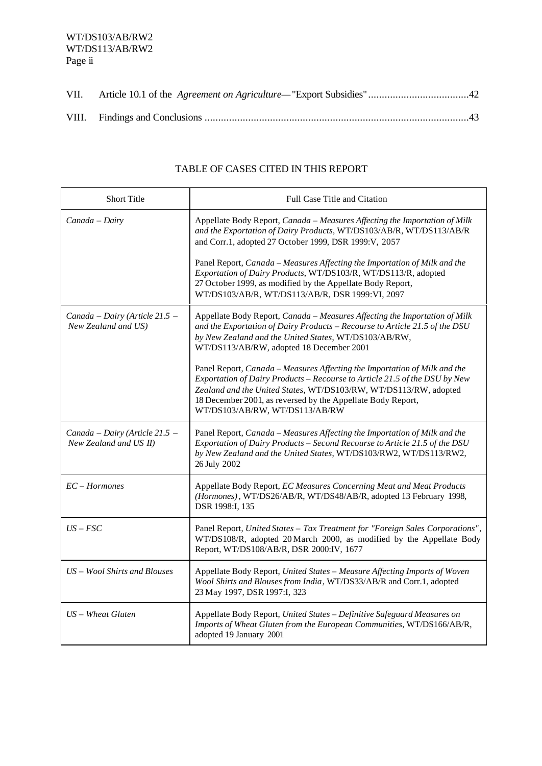# WT/DS103/AB/RW2 WT/DS113/AB/RW2 Page ii

| VII. |  |
|------|--|
|      |  |

| <b>Short Title</b>                                       | <b>Full Case Title and Citation</b>                                                                                                                                                                                                                                                                                                                       |
|----------------------------------------------------------|-----------------------------------------------------------------------------------------------------------------------------------------------------------------------------------------------------------------------------------------------------------------------------------------------------------------------------------------------------------|
| Canada - Dairy                                           | Appellate Body Report, Canada - Measures Affecting the Importation of Milk<br>and the Exportation of Dairy Products, WT/DS103/AB/R, WT/DS113/AB/R<br>and Corr.1, adopted 27 October 1999, DSR 1999:V, 2057<br>Panel Report, Canada - Measures Affecting the Importation of Milk and the<br>Exportation of Dairy Products, WT/DS103/R, WT/DS113/R, adopted |
|                                                          | 27 October 1999, as modified by the Appellate Body Report,<br>WT/DS103/AB/R, WT/DS113/AB/R, DSR 1999:VI, 2097                                                                                                                                                                                                                                             |
| Canada - Dairy (Article 21.5 -<br>New Zealand and US)    | Appellate Body Report, Canada - Measures Affecting the Importation of Milk<br>and the Exportation of Dairy Products - Recourse to Article 21.5 of the DSU<br>by New Zealand and the United States, WT/DS103/AB/RW,<br>WT/DS113/AB/RW, adopted 18 December 2001                                                                                            |
|                                                          | Panel Report, Canada - Measures Affecting the Importation of Milk and the<br>Exportation of Dairy Products - Recourse to Article 21.5 of the DSU by New<br>Zealand and the United States, WT/DS103/RW, WT/DS113/RW, adopted<br>18 December 2001, as reversed by the Appellate Body Report,<br>WT/DS103/AB/RW, WT/DS113/AB/RW                              |
| Canada - Dairy (Article 21.5 -<br>New Zealand and US II) | Panel Report, Canada - Measures Affecting the Importation of Milk and the<br>Exportation of Dairy Products - Second Recourse to Article 21.5 of the DSU<br>by New Zealand and the United States, WT/DS103/RW2, WT/DS113/RW2,<br>26 July 2002                                                                                                              |
| $EC-Hormones$                                            | Appellate Body Report, EC Measures Concerning Meat and Meat Products<br>(Hormones), WT/DS26/AB/R, WT/DS48/AB/R, adopted 13 February 1998,<br>DSR 1998:I, 135                                                                                                                                                                                              |
| $US-FSC$                                                 | Panel Report, United States - Tax Treatment for "Foreign Sales Corporations",<br>WT/DS108/R, adopted 20 March 2000, as modified by the Appellate Body<br>Report, WT/DS108/AB/R, DSR 2000:IV, 1677                                                                                                                                                         |
| US – Wool Shirts and Blouses                             | Appellate Body Report, United States - Measure Affecting Imports of Woven<br>Wool Shirts and Blouses from India, WT/DS33/AB/R and Corr.1, adopted<br>23 May 1997, DSR 1997:I, 323                                                                                                                                                                         |
| US – Wheat Gluten                                        | Appellate Body Report, United States - Definitive Safeguard Measures on<br>Imports of Wheat Gluten from the European Communities, WT/DS166/AB/R,<br>adopted 19 January 2001                                                                                                                                                                               |

# TABLE OF CASES CITED IN THIS REPORT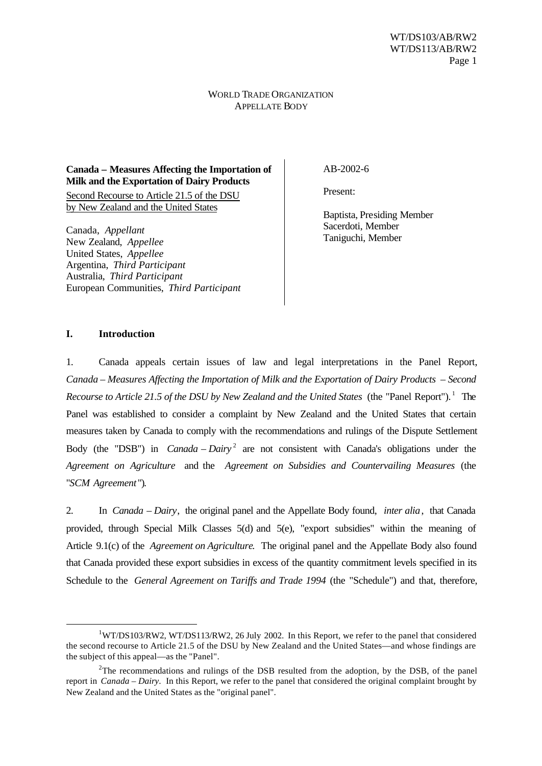#### WORLD TRADE ORGANIZATION APPELLATE BODY

**Canada – Measures Affecting the Importation of Milk and the Exportation of Dairy Products** Second Recourse to Article 21.5 of the DSU by New Zealand and the United States

Canada, *Appellant* New Zealand, *Appellee* United States, *Appellee* Argentina, *Third Participant* Australia, *Third Participant* European Communities, *Third Participant* AB-2002-6

Present:

Baptista, Presiding Member Sacerdoti, Member Taniguchi, Member

#### **I. Introduction**

l

1. Canada appeals certain issues of law and legal interpretations in the Panel Report, *Canada – Measures Affecting the Importation of Milk and the Exportation of Dairy Products – Second* Recourse to Article 21.5 of the DSU by New Zealand and the United States (the "Panel Report").<sup>1</sup> The Panel was established to consider a complaint by New Zealand and the United States that certain measures taken by Canada to comply with the recommendations and rulings of the Dispute Settlement Body (the "DSB") in *Canada – Dairy*<sup>2</sup> are not consistent with Canada's obligations under the *Agreement on Agriculture* and the *Agreement on Subsidies and Countervailing Measures* (the "*SCM Agreement* ").

2. In *Canada – Dairy*, the original panel and the Appellate Body found, *inter alia*, that Canada provided, through Special Milk Classes 5(d) and 5(e), "export subsidies" within the meaning of Article 9.1(c) of the *Agreement on Agriculture*. The original panel and the Appellate Body also found that Canada provided these export subsidies in excess of the quantity commitment levels specified in its Schedule to the *General Agreement on Tariffs and Trade 1994* (the "Schedule") and that, therefore,

<sup>1</sup>WT/DS103/RW2, WT/DS113/RW2, 26 July 2002. In this Report, we refer to the panel that considered the second recourse to Article 21.5 of the DSU by New Zealand and the United States—and whose findings are the subject of this appeal—as the "Panel".

 $2$ The recommendations and rulings of the DSB resulted from the adoption, by the DSB, of the panel report in *Canada – Dairy*. In this Report, we refer to the panel that considered the original complaint brought by New Zealand and the United States as the "original panel".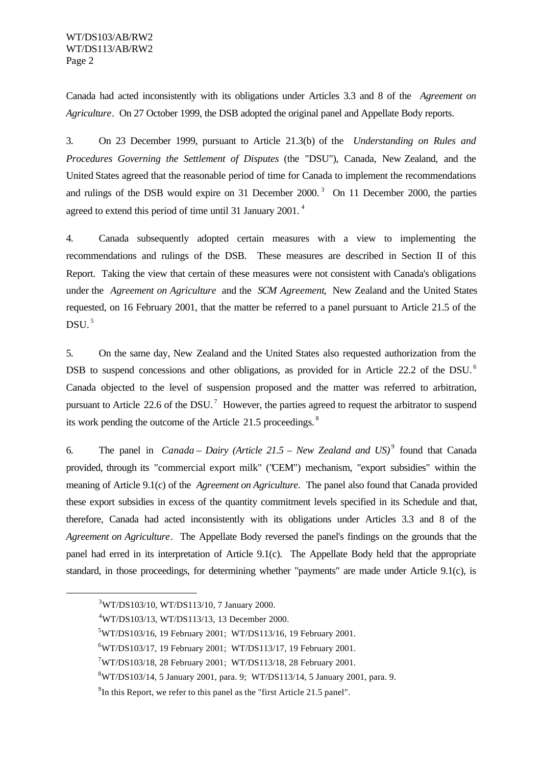Canada had acted inconsistently with its obligations under Articles 3.3 and 8 of the *Agreement on Agriculture*. On 27 October 1999, the DSB adopted the original panel and Appellate Body reports.

3. On 23 December 1999, pursuant to Article 21.3(b) of the *Understanding on Rules and Procedures Governing the Settlement of Disputes* (the "DSU"), Canada, New Zealand, and the United States agreed that the reasonable period of time for Canada to implement the recommendations and rulings of the DSB would expire on 31 December 2000.<sup>3</sup> On 11 December 2000, the parties agreed to extend this period of time until 31 January 2001.<sup>4</sup>

4. Canada subsequently adopted certain measures with a view to implementing the recommendations and rulings of the DSB. These measures are described in Section II of this Report. Taking the view that certain of these measures were not consistent with Canada's obligations under the *Agreement on Agriculture* and the *SCM Agreement*, New Zealand and the United States requested, on 16 February 2001, that the matter be referred to a panel pursuant to Article 21.5 of the  $DSU.<sup>5</sup>$ 

5. On the same day, New Zealand and the United States also requested authorization from the DSB to suspend concessions and other obligations, as provided for in Article 22.2 of the DSU.<sup>6</sup> Canada objected to the level of suspension proposed and the matter was referred to arbitration, pursuant to Article 22.6 of the DSU.<sup>7</sup> However, the parties agreed to request the arbitrator to suspend its work pending the outcome of the Article 21.5 proceedings. <sup>8</sup>

6. The panel in *Canada – Dairy (Article 21.5 – New Zealand and US)*<sup>9</sup> found that Canada provided, through its "commercial export milk" ("CEM") mechanism, "export subsidies" within the meaning of Article 9.1(c) of the *Agreement on Agriculture*. The panel also found that Canada provided these export subsidies in excess of the quantity commitment levels specified in its Schedule and that, therefore, Canada had acted inconsistently with its obligations under Articles 3.3 and 8 of the *Agreement on Agriculture*. The Appellate Body reversed the panel's findings on the grounds that the panel had erred in its interpretation of Article 9.1(c). The Appellate Body held that the appropriate standard, in those proceedings, for determining whether "payments" are made under Article 9.1(c), is

<sup>3</sup>WT/DS103/10, WT/DS113/10, 7 January 2000.

<sup>4</sup>WT/DS103/13, WT/DS113/13, 13 December 2000.

<sup>5</sup>WT/DS103/16, 19 February 2001; WT/DS113/16, 19 February 2001.

<sup>6</sup>WT/DS103/17, 19 February 2001; WT/DS113/17, 19 February 2001.

<sup>7</sup>WT/DS103/18, 28 February 2001; WT/DS113/18, 28 February 2001.

<sup>8</sup>WT/DS103/14, 5 January 2001, para. 9; WT/DS113/14, 5 January 2001, para. 9.

 $^{9}$ In this Report, we refer to this panel as the "first Article 21.5 panel".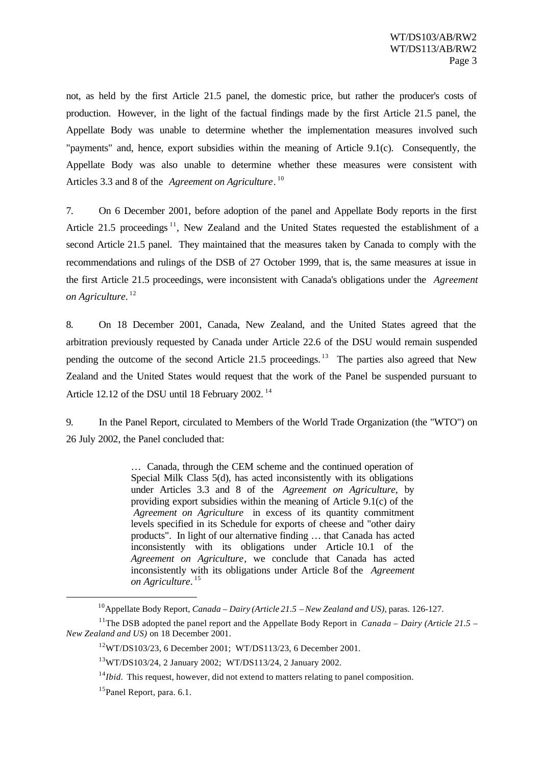not, as held by the first Article 21.5 panel, the domestic price, but rather the producer's costs of production. However, in the light of the factual findings made by the first Article 21.5 panel, the Appellate Body was unable to determine whether the implementation measures involved such "payments" and, hence, export subsidies within the meaning of Article 9.1(c). Consequently, the Appellate Body was also unable to determine whether these measures were consistent with Articles 3.3 and 8 of the *Agreement on Agriculture*. 10

7. On 6 December 2001, before adoption of the panel and Appellate Body reports in the first Article 21.5 proceedings<sup>11</sup>, New Zealand and the United States requested the establishment of a second Article 21.5 panel. They maintained that the measures taken by Canada to comply with the recommendations and rulings of the DSB of 27 October 1999, that is, the same measures at issue in the first Article 21.5 proceedings, were inconsistent with Canada's obligations under the *Agreement on Agriculture*. 12

8. On 18 December 2001, Canada, New Zealand, and the United States agreed that the arbitration previously requested by Canada under Article 22.6 of the DSU would remain suspended pending the outcome of the second Article 21.5 proceedings.<sup>13</sup> The parties also agreed that New Zealand and the United States would request that the work of the Panel be suspended pursuant to Article 12.12 of the DSU until 18 February 2002.<sup>14</sup>

9. In the Panel Report, circulated to Members of the World Trade Organization (the "WTO") on 26 July 2002, the Panel concluded that:

> … Canada, through the CEM scheme and the continued operation of Special Milk Class 5(d), has acted inconsistently with its obligations under Articles 3.3 and 8 of the *Agreement on Agriculture*, by providing export subsidies within the meaning of Article 9.1(c) of the *Agreement on Agriculture* in excess of its quantity commitment levels specified in its Schedule for exports of cheese and "other dairy products". In light of our alternative finding … that Canada has acted inconsistently with its obligations under Article 10.1 of the *Agreement on Agriculture*, we conclude that Canada has acted inconsistently with its obligations under Article 8 of the *Agreement on Agriculture*. 15

<sup>10</sup>Appellate Body Report, *Canada – Dairy (Article 21.5 – New Zealand and US)*, paras. 126-127.

<sup>11</sup>The DSB adopted the panel report and the Appellate Body Report in *Canada – Dairy (Article 21.5 – New Zealand and US)* on 18 December 2001.

<sup>12</sup>WT/DS103/23, 6 December 2001; WT/DS113/23, 6 December 2001.

<sup>13</sup>WT/DS103/24, 2 January 2002; WT/DS113/24, 2 January 2002.

<sup>&</sup>lt;sup>14</sup>*Ibid.* This request, however, did not extend to matters relating to panel composition.

<sup>&</sup>lt;sup>15</sup>Panel Report, para. 6.1.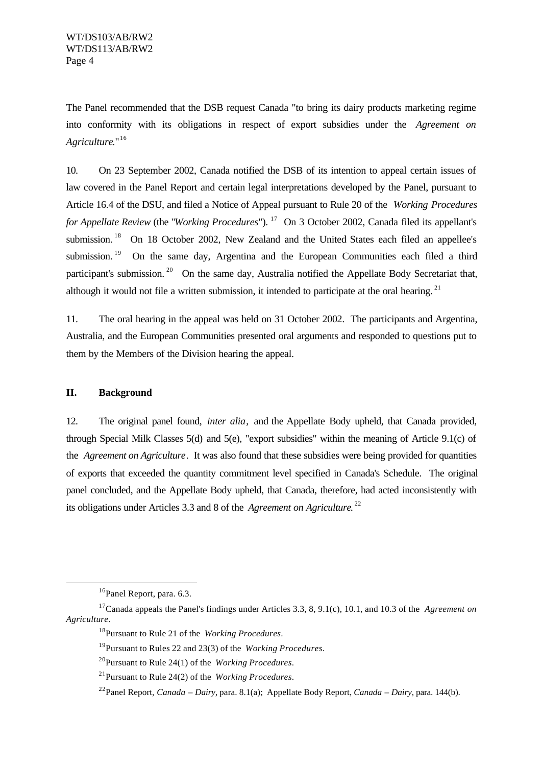The Panel recommended that the DSB request Canada "to bring its dairy products marketing regime into conformity with its obligations in respect of export subsidies under the *Agreement on Agriculture*."<sup>16</sup>

10. On 23 September 2002, Canada notified the DSB of its intention to appeal certain issues of law covered in the Panel Report and certain legal interpretations developed by the Panel, pursuant to Article 16.4 of the DSU, and filed a Notice of Appeal pursuant to Rule 20 of the *Working Procedures for Appellate Review* (the "*Working Procedures*"). <sup>17</sup> On 3 October 2002, Canada filed its appellant's submission.  $18$  On 18 October 2002, New Zealand and the United States each filed an appellee's submission.<sup>19</sup> On the same day, Argentina and the European Communities each filed a third participant's submission.<sup>20</sup> On the same day, Australia notified the Appellate Body Secretariat that, although it would not file a written submission, it intended to participate at the oral hearing.<sup>21</sup>

11. The oral hearing in the appeal was held on 31 October 2002. The participants and Argentina, Australia, and the European Communities presented oral arguments and responded to questions put to them by the Members of the Division hearing the appeal.

# **II. Background**

l

12. The original panel found, *inter alia*, and the Appellate Body upheld, that Canada provided, through Special Milk Classes 5(d) and 5(e), "export subsidies" within the meaning of Article 9.1(c) of the *Agreement on Agriculture*. It was also found that these subsidies were being provided for quantities of exports that exceeded the quantity commitment level specified in Canada's Schedule. The original panel concluded, and the Appellate Body upheld, that Canada, therefore, had acted inconsistently with its obligations under Articles 3.3 and 8 of the *Agreement on Agriculture*. 22

<sup>&</sup>lt;sup>16</sup>Panel Report, para. 6.3.

<sup>17</sup>Canada appeals the Panel's findings under Articles 3.3, 8, 9.1(c), 10.1, and 10.3 of the *Agreement on Agriculture*.

<sup>18</sup>Pursuant to Rule 21 of the *Working Procedures*.

<sup>19</sup>Pursuant to Rules 22 and 23(3) of the *Working Procedures*.

<sup>20</sup>Pursuant to Rule 24(1) of the *Working Procedures*.

<sup>21</sup>Pursuant to Rule 24(2) of the *Working Procedures*.

<sup>22</sup>Panel Report, *Canada – Dairy,* para. 8.1(a); Appellate Body Report, *Canada – Dairy,* para. 144(b).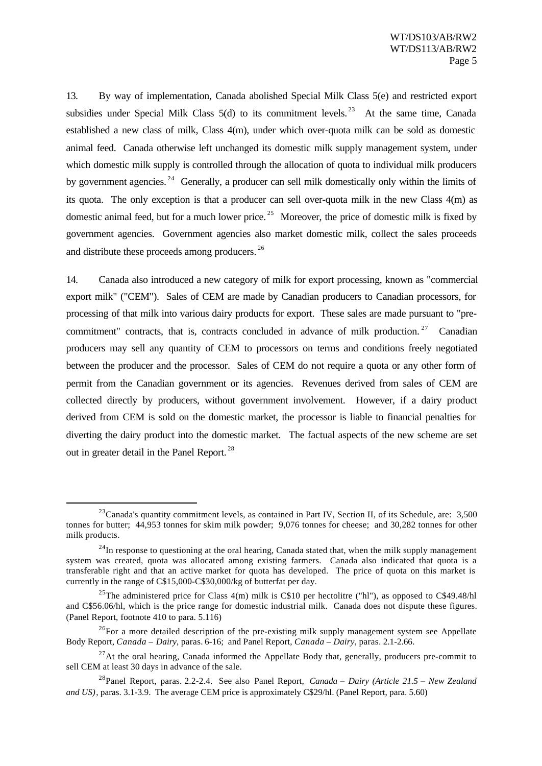13. By way of implementation, Canada abolished Special Milk Class 5(e) and restricted export subsidies under Special Milk Class  $5(d)$  to its commitment levels.<sup>23</sup> At the same time, Canada established a new class of milk, Class 4(m), under which over-quota milk can be sold as domestic animal feed. Canada otherwise left unchanged its domestic milk supply management system, under which domestic milk supply is controlled through the allocation of quota to individual milk producers by government agencies.<sup>24</sup> Generally, a producer can sell milk domestically only within the limits of its quota. The only exception is that a producer can sell over-quota milk in the new Class 4(m) as domestic animal feed, but for a much lower price.<sup>25</sup> Moreover, the price of domestic milk is fixed by government agencies. Government agencies also market domestic milk, collect the sales proceeds and distribute these proceeds among producers.<sup>26</sup>

14. Canada also introduced a new category of milk for export processing, known as "commercial export milk" ("CEM"). Sales of CEM are made by Canadian producers to Canadian processors, for processing of that milk into various dairy products for export. These sales are made pursuant to "precommitment" contracts, that is, contracts concluded in advance of milk production. <sup>27</sup> Canadian producers may sell any quantity of CEM to processors on terms and conditions freely negotiated between the producer and the processor. Sales of CEM do not require a quota or any other form of permit from the Canadian government or its agencies. Revenues derived from sales of CEM are collected directly by producers, without government involvement. However, if a dairy product derived from CEM is sold on the domestic market, the processor is liable to financial penalties for diverting the dairy product into the domestic market. The factual aspects of the new scheme are set out in greater detail in the Panel Report. <sup>28</sup>

 $^{23}$ Canada's quantity commitment levels, as contained in Part IV, Section II, of its Schedule, are: 3,500 tonnes for butter; 44,953 tonnes for skim milk powder; 9,076 tonnes for cheese; and 30,282 tonnes for other milk products.

 $^{24}$ In response to questioning at the oral hearing, Canada stated that, when the milk supply management system was created, quota was allocated among existing farmers. Canada also indicated that quota is a transferable right and that an active market for quota has developed. The price of quota on this market is currently in the range of C\$15,000-C\$30,000/kg of butterfat per day.

<sup>&</sup>lt;sup>25</sup>The administered price for Class 4(m) milk is C\$10 per hectolitre ("hl"), as opposed to C\$49.48/hl and C\$56.06/hl, which is the price range for domestic industrial milk. Canada does not dispute these figures. (Panel Report, footnote 410 to para. 5.116)

 $^{26}$ For a more detailed description of the pre-existing milk supply management system see Appellate Body Report, *Canada – Dairy*, paras. 6-16; and Panel Report, *Canada – Dairy*, paras. 2.1-2.66.

 $27$ At the oral hearing, Canada informed the Appellate Body that, generally, producers pre-commit to sell CEM at least 30 days in advance of the sale.

<sup>28</sup>Panel Report, paras. 2.2-2.4. See also Panel Report, *Canada – Dairy (Article 21.5 – New Zealand and US)*, paras. 3.1-3.9. The average CEM price is approximately C\$29/hl. (Panel Report, para. 5.60)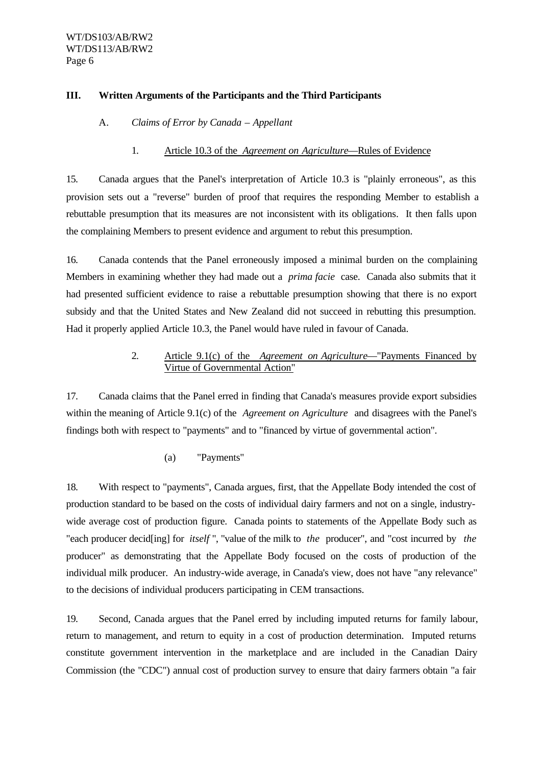#### **III. Written Arguments of the Participants and the Third Participants**

#### A. *Claims of Error by Canada – Appellant*

#### 1. Article 10.3 of the *Agreement on Agriculture*—Rules of Evidence

15. Canada argues that the Panel's interpretation of Article 10.3 is "plainly erroneous", as this provision sets out a "reverse" burden of proof that requires the responding Member to establish a rebuttable presumption that its measures are not inconsistent with its obligations. It then falls upon the complaining Members to present evidence and argument to rebut this presumption.

16. Canada contends that the Panel erroneously imposed a minimal burden on the complaining Members in examining whether they had made out a *prima facie* case. Canada also submits that it had presented sufficient evidence to raise a rebuttable presumption showing that there is no export subsidy and that the United States and New Zealand did not succeed in rebutting this presumption. Had it properly applied Article 10.3, the Panel would have ruled in favour of Canada.

# 2. Article 9.1(c) of the *Agreement on Agriculture*—"Payments Financed by Virtue of Governmental Action"

17. Canada claims that the Panel erred in finding that Canada's measures provide export subsidies within the meaning of Article 9.1(c) of the *Agreement on Agriculture* and disagrees with the Panel's findings both with respect to "payments" and to "financed by virtue of governmental action".

# (a) "Payments"

18. With respect to "payments", Canada argues, first, that the Appellate Body intended the cost of production standard to be based on the costs of individual dairy farmers and not on a single, industrywide average cost of production figure. Canada points to statements of the Appellate Body such as "each producer decid[ing] for *itself* ", "value of the milk to *the* producer", and "cost incurred by *the* producer" as demonstrating that the Appellate Body focused on the costs of production of the individual milk producer. An industry-wide average, in Canada's view, does not have "any relevance" to the decisions of individual producers participating in CEM transactions.

19. Second, Canada argues that the Panel erred by including imputed returns for family labour, return to management, and return to equity in a cost of production determination. Imputed returns constitute government intervention in the marketplace and are included in the Canadian Dairy Commission (the "CDC") annual cost of production survey to ensure that dairy farmers obtain "a fair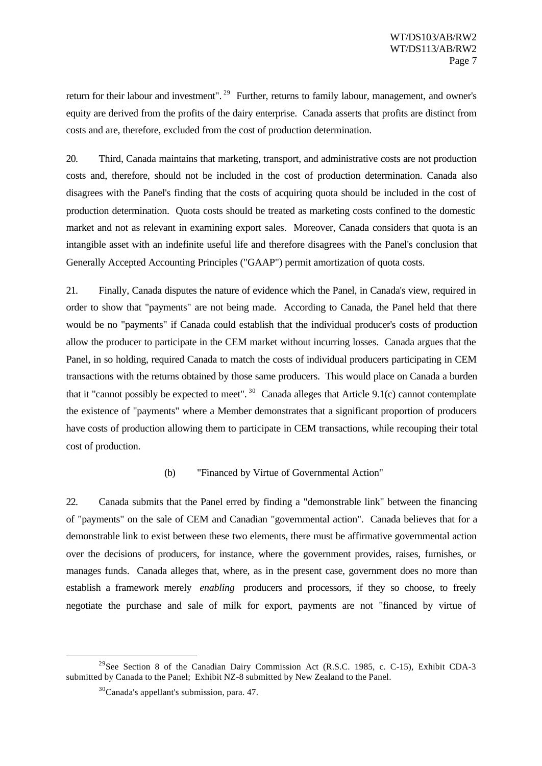return for their labour and investment".<sup>29</sup> Further, returns to family labour, management, and owner's equity are derived from the profits of the dairy enterprise. Canada asserts that profits are distinct from costs and are, therefore, excluded from the cost of production determination.

20. Third, Canada maintains that marketing, transport, and administrative costs are not production costs and, therefore, should not be included in the cost of production determination. Canada also disagrees with the Panel's finding that the costs of acquiring quota should be included in the cost of production determination. Quota costs should be treated as marketing costs confined to the domestic market and not as relevant in examining export sales. Moreover, Canada considers that quota is an intangible asset with an indefinite useful life and therefore disagrees with the Panel's conclusion that Generally Accepted Accounting Principles ("GAAP") permit amortization of quota costs.

21. Finally, Canada disputes the nature of evidence which the Panel, in Canada's view, required in order to show that "payments" are not being made. According to Canada, the Panel held that there would be no "payments" if Canada could establish that the individual producer's costs of production allow the producer to participate in the CEM market without incurring losses. Canada argues that the Panel, in so holding, required Canada to match the costs of individual producers participating in CEM transactions with the returns obtained by those same producers. This would place on Canada a burden that it "cannot possibly be expected to meet".<sup>30</sup> Canada alleges that Article 9.1(c) cannot contemplate the existence of "payments" where a Member demonstrates that a significant proportion of producers have costs of production allowing them to participate in CEM transactions, while recouping their total cost of production.

#### (b) "Financed by Virtue of Governmental Action"

22. Canada submits that the Panel erred by finding a "demonstrable link" between the financing of "payments" on the sale of CEM and Canadian "governmental action". Canada believes that for a demonstrable link to exist between these two elements, there must be affirmative governmental action over the decisions of producers, for instance, where the government provides, raises, furnishes, or manages funds. Canada alleges that, where, as in the present case, government does no more than establish a framework merely *enabling* producers and processors, if they so choose, to freely negotiate the purchase and sale of milk for export, payments are not "financed by virtue of

<sup>&</sup>lt;sup>29</sup>See Section 8 of the Canadian Dairy Commission Act (R.S.C. 1985, c. C-15), Exhibit CDA-3 submitted by Canada to the Panel; Exhibit NZ-8 submitted by New Zealand to the Panel.

 $30$ Canada's appellant's submission, para. 47.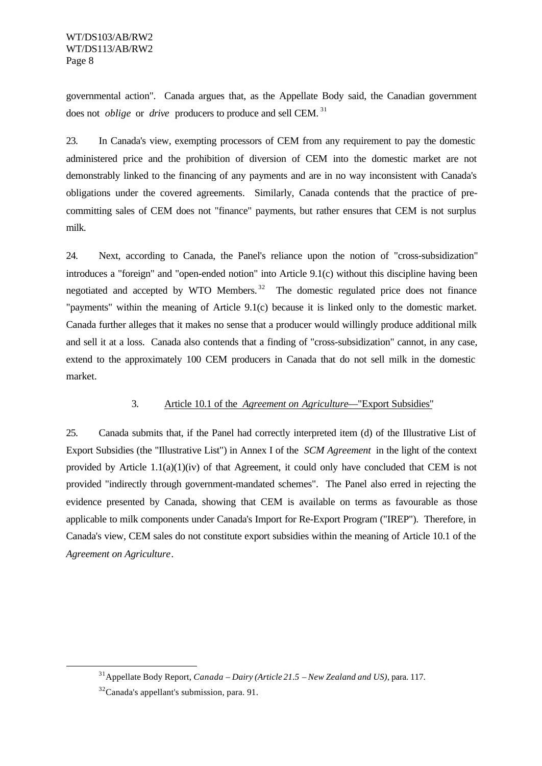governmental action". Canada argues that, as the Appellate Body said, the Canadian government does not *oblige* or *drive* producers to produce and sell CEM.<sup>31</sup>

23. In Canada's view, exempting processors of CEM from any requirement to pay the domestic administered price and the prohibition of diversion of CEM into the domestic market are not demonstrably linked to the financing of any payments and are in no way inconsistent with Canada's obligations under the covered agreements. Similarly, Canada contends that the practice of precommitting sales of CEM does not "finance" payments, but rather ensures that CEM is not surplus milk.

24. Next, according to Canada, the Panel's reliance upon the notion of "cross-subsidization" introduces a "foreign" and "open-ended notion" into Article 9.1(c) without this discipline having been negotiated and accepted by WTO Members.<sup>32</sup> The domestic regulated price does not finance "payments" within the meaning of Article 9.1(c) because it is linked only to the domestic market. Canada further alleges that it makes no sense that a producer would willingly produce additional milk and sell it at a loss. Canada also contends that a finding of "cross-subsidization" cannot, in any case, extend to the approximately 100 CEM producers in Canada that do not sell milk in the domestic market.

# 3. Article 10.1 of the *Agreement on Agriculture*—"Export Subsidies"

25. Canada submits that, if the Panel had correctly interpreted item (d) of the Illustrative List of Export Subsidies (the "Illustrative List") in Annex I of the *SCM Agreement* in the light of the context provided by Article 1.1(a)(1)(iv) of that Agreement, it could only have concluded that CEM is not provided "indirectly through government-mandated schemes". The Panel also erred in rejecting the evidence presented by Canada, showing that CEM is available on terms as favourable as those applicable to milk components under Canada's Import for Re-Export Program ("IREP"). Therefore, in Canada's view, CEM sales do not constitute export subsidies within the meaning of Article 10.1 of the *Agreement on Agriculture*.

<sup>31</sup>Appellate Body Report, *Canada – Dairy (Article 21.5 – New Zealand and US)*, para. 117.

 $32$ Canada's appellant's submission, para. 91.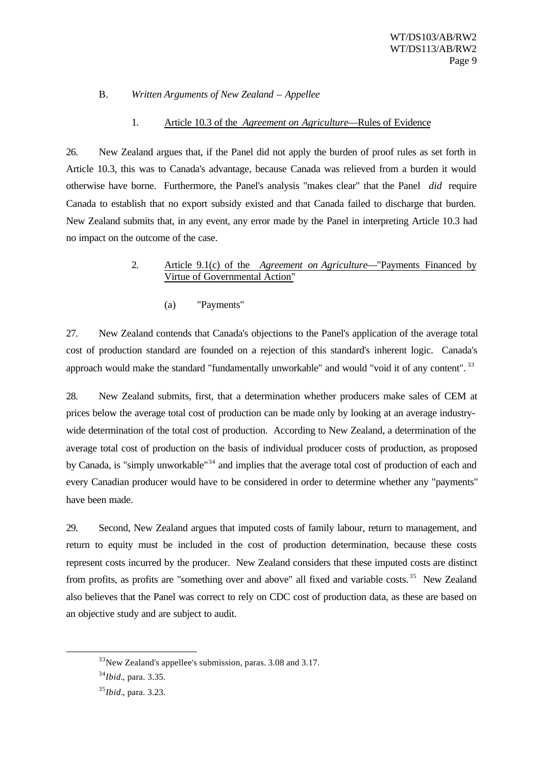# B. *Written Arguments of New Zealand – Appellee*

#### 1. Article 10.3 of the *Agreement on Agriculture*—Rules of Evidence

26. New Zealand argues that, if the Panel did not apply the burden of proof rules as set forth in Article 10.3, this was to Canada's advantage, because Canada was relieved from a burden it would otherwise have borne. Furthermore, the Panel's analysis "makes clear" that the Panel *did* require Canada to establish that no export subsidy existed and that Canada failed to discharge that burden. New Zealand submits that, in any event, any error made by the Panel in interpreting Article 10.3 had no impact on the outcome of the case.

# 2. Article 9.1(c) of the *Agreement on Agriculture*—"Payments Financed by Virtue of Governmental Action"

(a) "Payments"

27. New Zealand contends that Canada's objections to the Panel's application of the average total cost of production standard are founded on a rejection of this standard's inherent logic. Canada's approach would make the standard "fundamentally unworkable" and would "void it of any content". 33

28. New Zealand submits, first, that a determination whether producers make sales of CEM at prices below the average total cost of production can be made only by looking at an average industrywide determination of the total cost of production. According to New Zealand, a determination of the average total cost of production on the basis of individual producer costs of production, as proposed by Canada, is "simply unworkable"<sup>34</sup> and implies that the average total cost of production of each and every Canadian producer would have to be considered in order to determine whether any "payments" have been made.

29. Second, New Zealand argues that imputed costs of family labour, return to management, and return to equity must be included in the cost of production determination, because these costs represent costs incurred by the producer. New Zealand considers that these imputed costs are distinct from profits, as profits are "something over and above" all fixed and variable costs.<sup>35</sup> New Zealand also believes that the Panel was correct to rely on CDC cost of production data, as these are based on an objective study and are subject to audit.

<sup>33</sup>New Zealand's appellee's submission, paras. 3.08 and 3.17.

<sup>34</sup>*Ibid.*, para. 3.35.

<sup>35</sup>*Ibid.*, para. 3.23.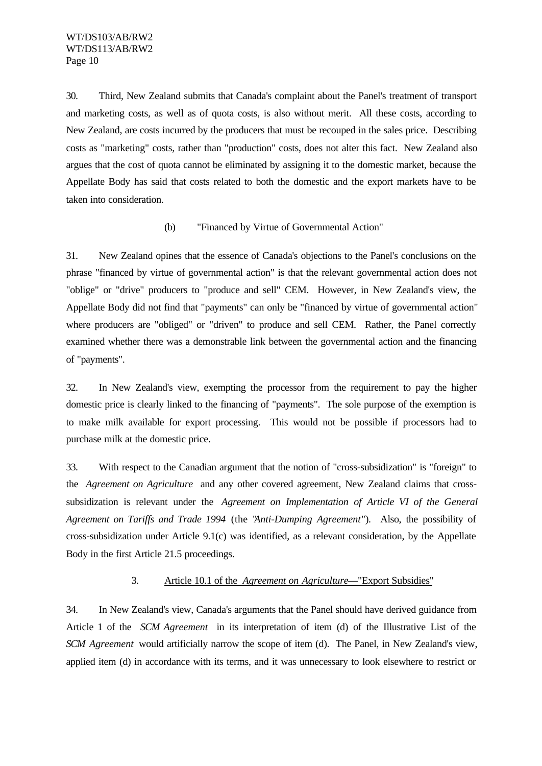30. Third, New Zealand submits that Canada's complaint about the Panel's treatment of transport and marketing costs, as well as of quota costs, is also without merit. All these costs, according to New Zealand, are costs incurred by the producers that must be recouped in the sales price. Describing costs as "marketing" costs, rather than "production" costs, does not alter this fact. New Zealand also argues that the cost of quota cannot be eliminated by assigning it to the domestic market, because the Appellate Body has said that costs related to both the domestic and the export markets have to be taken into consideration.

#### (b) "Financed by Virtue of Governmental Action"

31. New Zealand opines that the essence of Canada's objections to the Panel's conclusions on the phrase "financed by virtue of governmental action" is that the relevant governmental action does not "oblige" or "drive" producers to "produce and sell" CEM. However, in New Zealand's view, the Appellate Body did not find that "payments" can only be "financed by virtue of governmental action" where producers are "obliged" or "driven" to produce and sell CEM. Rather, the Panel correctly examined whether there was a demonstrable link between the governmental action and the financing of "payments".

32. In New Zealand's view, exempting the processor from the requirement to pay the higher domestic price is clearly linked to the financing of "payments". The sole purpose of the exemption is to make milk available for export processing. This would not be possible if processors had to purchase milk at the domestic price.

33. With respect to the Canadian argument that the notion of "cross-subsidization" is "foreign" to the *Agreement on Agriculture* and any other covered agreement, New Zealand claims that crosssubsidization is relevant under the *Agreement on Implementation of Article VI of the General Agreement on Tariffs and Trade 1994* (the "*Anti-Dumping Agreement*"). Also, the possibility of cross-subsidization under Article 9.1(c) was identified, as a relevant consideration, by the Appellate Body in the first Article 21.5 proceedings.

#### 3. Article 10.1 of the *Agreement on Agriculture*—"Export Subsidies"

34. In New Zealand's view, Canada's arguments that the Panel should have derived guidance from Article 1 of the *SCM Agreement* in its interpretation of item (d) of the Illustrative List of the *SCM Agreement* would artificially narrow the scope of item (d). The Panel, in New Zealand's view, applied item (d) in accordance with its terms, and it was unnecessary to look elsewhere to restrict or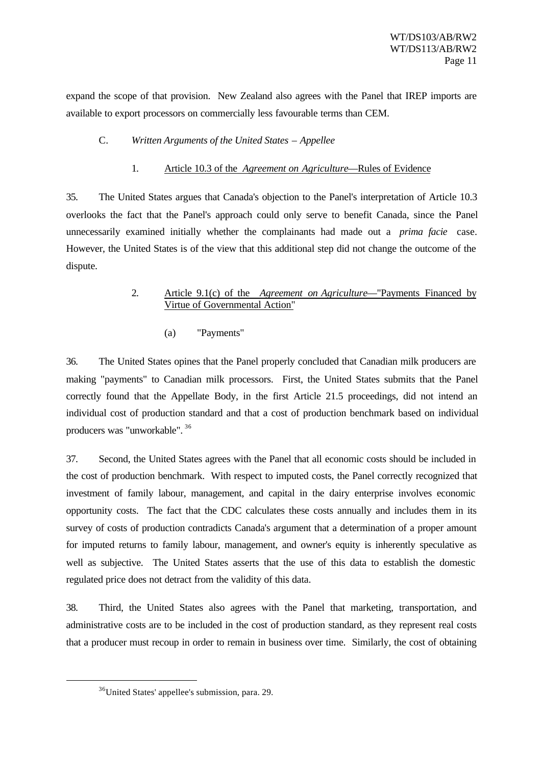expand the scope of that provision. New Zealand also agrees with the Panel that IREP imports are available to export processors on commercially less favourable terms than CEM.

# C. *Written Arguments of the United States – Appellee*

# 1. Article 10.3 of the *Agreement on Agriculture*—Rules of Evidence

35. The United States argues that Canada's objection to the Panel's interpretation of Article 10.3 overlooks the fact that the Panel's approach could only serve to benefit Canada, since the Panel unnecessarily examined initially whether the complainants had made out a *prima facie* case. However, the United States is of the view that this additional step did not change the outcome of the dispute.

#### 2. Article 9.1(c) of the *Agreement on Agriculture*—"Payments Financed by Virtue of Governmental Action"

(a) "Payments"

36. The United States opines that the Panel properly concluded that Canadian milk producers are making "payments" to Canadian milk processors. First, the United States submits that the Panel correctly found that the Appellate Body, in the first Article 21.5 proceedings, did not intend an individual cost of production standard and that a cost of production benchmark based on individual producers was "unworkable". <sup>36</sup>

37. Second, the United States agrees with the Panel that all economic costs should be included in the cost of production benchmark. With respect to imputed costs, the Panel correctly recognized that investment of family labour, management, and capital in the dairy enterprise involves economic opportunity costs. The fact that the CDC calculates these costs annually and includes them in its survey of costs of production contradicts Canada's argument that a determination of a proper amount for imputed returns to family labour, management, and owner's equity is inherently speculative as well as subjective. The United States asserts that the use of this data to establish the domestic regulated price does not detract from the validity of this data.

38. Third, the United States also agrees with the Panel that marketing, transportation, and administrative costs are to be included in the cost of production standard, as they represent real costs that a producer must recoup in order to remain in business over time. Similarly, the cost of obtaining

<sup>36</sup>United States' appellee's submission, para. 29.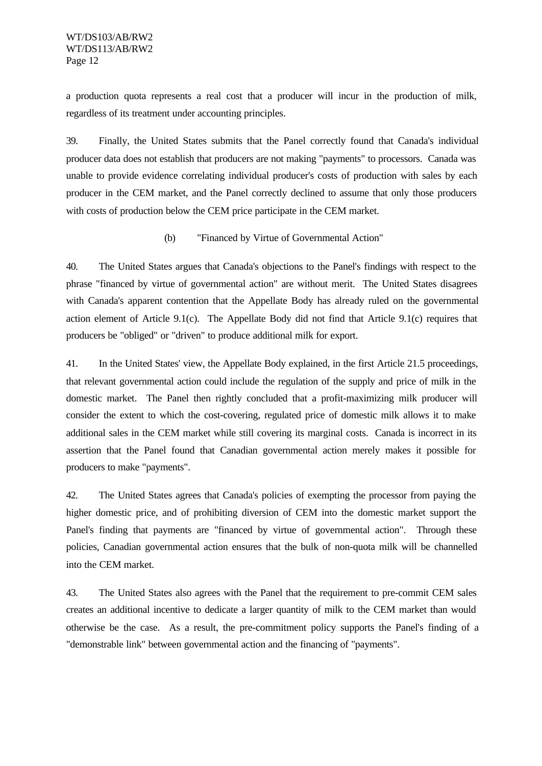a production quota represents a real cost that a producer will incur in the production of milk, regardless of its treatment under accounting principles.

39. Finally, the United States submits that the Panel correctly found that Canada's individual producer data does not establish that producers are not making "payments" to processors. Canada was unable to provide evidence correlating individual producer's costs of production with sales by each producer in the CEM market, and the Panel correctly declined to assume that only those producers with costs of production below the CEM price participate in the CEM market.

(b) "Financed by Virtue of Governmental Action"

40. The United States argues that Canada's objections to the Panel's findings with respect to the phrase "financed by virtue of governmental action" are without merit. The United States disagrees with Canada's apparent contention that the Appellate Body has already ruled on the governmental action element of Article 9.1(c). The Appellate Body did not find that Article 9.1(c) requires that producers be "obliged" or "driven" to produce additional milk for export.

41. In the United States' view, the Appellate Body explained, in the first Article 21.5 proceedings, that relevant governmental action could include the regulation of the supply and price of milk in the domestic market. The Panel then rightly concluded that a profit-maximizing milk producer will consider the extent to which the cost-covering, regulated price of domestic milk allows it to make additional sales in the CEM market while still covering its marginal costs. Canada is incorrect in its assertion that the Panel found that Canadian governmental action merely makes it possible for producers to make "payments".

42. The United States agrees that Canada's policies of exempting the processor from paying the higher domestic price, and of prohibiting diversion of CEM into the domestic market support the Panel's finding that payments are "financed by virtue of governmental action". Through these policies, Canadian governmental action ensures that the bulk of non-quota milk will be channelled into the CEM market.

43. The United States also agrees with the Panel that the requirement to pre-commit CEM sales creates an additional incentive to dedicate a larger quantity of milk to the CEM market than would otherwise be the case. As a result, the pre-commitment policy supports the Panel's finding of a "demonstrable link" between governmental action and the financing of "payments".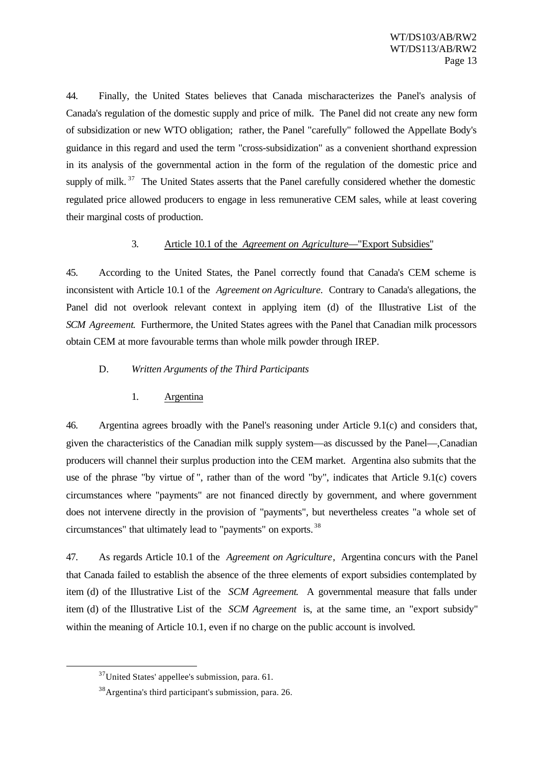44. Finally, the United States believes that Canada mischaracterizes the Panel's analysis of Canada's regulation of the domestic supply and price of milk. The Panel did not create any new form of subsidization or new WTO obligation; rather, the Panel "carefully" followed the Appellate Body's guidance in this regard and used the term "cross-subsidization" as a convenient shorthand expression in its analysis of the governmental action in the form of the regulation of the domestic price and supply of milk.<sup>37</sup> The United States asserts that the Panel carefully considered whether the domestic regulated price allowed producers to engage in less remunerative CEM sales, while at least covering their marginal costs of production.

#### 3. Article 10.1 of the *Agreement on Agriculture*—"Export Subsidies"

45. According to the United States, the Panel correctly found that Canada's CEM scheme is inconsistent with Article 10.1 of the *Agreement on Agriculture*. Contrary to Canada's allegations, the Panel did not overlook relevant context in applying item (d) of the Illustrative List of the *SCM Agreement*. Furthermore, the United States agrees with the Panel that Canadian milk processors obtain CEM at more favourable terms than whole milk powder through IREP.

#### D. *Written Arguments of the Third Participants*

# 1. Argentina

46. Argentina agrees broadly with the Panel's reasoning under Article 9.1(c) and considers that, given the characteristics of the Canadian milk supply system—as discussed by the Panel—,Canadian producers will channel their surplus production into the CEM market. Argentina also submits that the use of the phrase "by virtue of ", rather than of the word "by", indicates that Article 9.1(c) covers circumstances where "payments" are not financed directly by government, and where government does not intervene directly in the provision of "payments", but nevertheless creates "a whole set of circumstances" that ultimately lead to "payments" on exports. <sup>38</sup>

47. As regards Article 10.1 of the *Agreement on Agriculture*, Argentina concurs with the Panel that Canada failed to establish the absence of the three elements of export subsidies contemplated by item (d) of the Illustrative List of the *SCM Agreement*. A governmental measure that falls under item (d) of the Illustrative List of the *SCM Agreement* is, at the same time, an "export subsidy" within the meaning of Article 10.1, even if no charge on the public account is involved.

 $37$ United States' appellee's submission, para. 61.

<sup>38</sup>Argentina's third participant's submission, para. 26.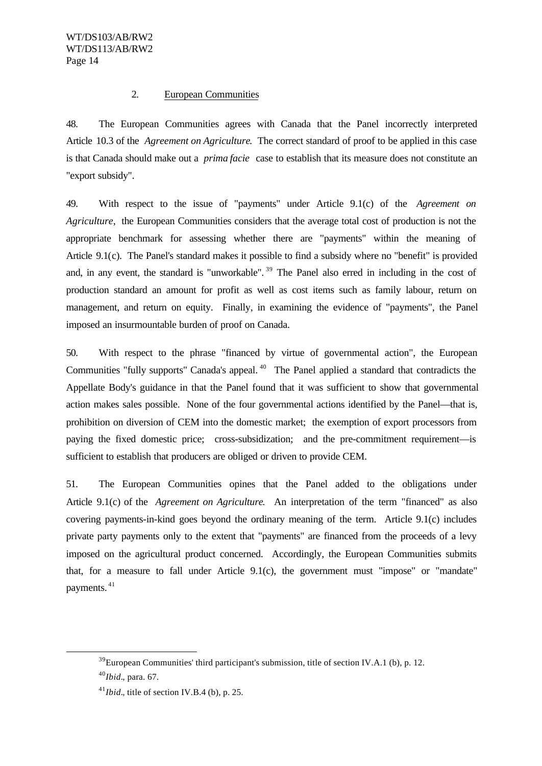#### 2. European Communities

48. The European Communities agrees with Canada that the Panel incorrectly interpreted Article 10.3 of the *Agreement on Agriculture*. The correct standard of proof to be applied in this case is that Canada should make out a *prima facie* case to establish that its measure does not constitute an "export subsidy".

49. With respect to the issue of "payments" under Article 9.1(c) of the *Agreement on Agriculture*, the European Communities considers that the average total cost of production is not the appropriate benchmark for assessing whether there are "payments" within the meaning of Article 9.1(c). The Panel's standard makes it possible to find a subsidy where no "benefit" is provided and, in any event, the standard is "unworkable".<sup>39</sup> The Panel also erred in including in the cost of production standard an amount for profit as well as cost items such as family labour, return on management, and return on equity. Finally, in examining the evidence of "payments", the Panel imposed an insurmountable burden of proof on Canada.

50. With respect to the phrase "financed by virtue of governmental action", the European Communities "fully supports" Canada's appeal.<sup>40</sup> The Panel applied a standard that contradicts the Appellate Body's guidance in that the Panel found that it was sufficient to show that governmental action makes sales possible. None of the four governmental actions identified by the Panel—that is, prohibition on diversion of CEM into the domestic market; the exemption of export processors from paying the fixed domestic price; cross-subsidization; and the pre-commitment requirement—is sufficient to establish that producers are obliged or driven to provide CEM.

51. The European Communities opines that the Panel added to the obligations under Article 9.1(c) of the *Agreement on Agriculture*. An interpretation of the term "financed" as also covering payments-in-kind goes beyond the ordinary meaning of the term. Article 9.1(c) includes private party payments only to the extent that "payments" are financed from the proceeds of a levy imposed on the agricultural product concerned. Accordingly, the European Communities submits that, for a measure to fall under Article 9.1(c), the government must "impose" or "mandate" payments. <sup>41</sup>

 $39$ European Communities' third participant's submission, title of section IV.A.1 (b), p. 12.

<sup>40</sup>*Ibid.*, para. 67.

 $^{41}$ *Ibid.*, title of section IV.B.4 (b), p. 25.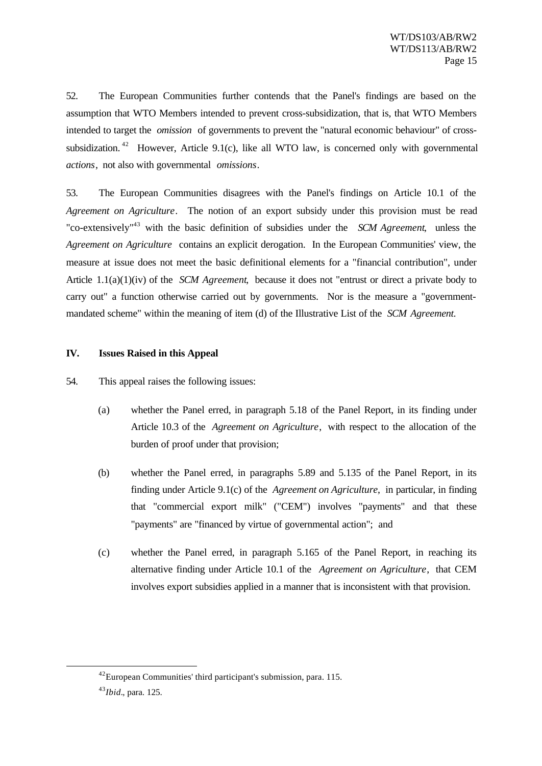52. The European Communities further contends that the Panel's findings are based on the assumption that WTO Members intended to prevent cross-subsidization, that is, that WTO Members intended to target the *omission* of governments to prevent the "natural economic behaviour" of crosssubsidization.<sup>42</sup> However, Article 9.1(c), like all WTO law, is concerned only with governmental *actions*, not also with governmental *omissions*.

53. The European Communities disagrees with the Panel's findings on Article 10.1 of the *Agreement on Agriculture*. The notion of an export subsidy under this provision must be read "co-extensively"<sup>43</sup> with the basic definition of subsidies under the *SCM Agreement*, unless the *Agreement on Agriculture* contains an explicit derogation. In the European Communities' view, the measure at issue does not meet the basic definitional elements for a "financial contribution", under Article 1.1(a)(1)(iv) of the *SCM Agreement*, because it does not "entrust or direct a private body to carry out" a function otherwise carried out by governments. Nor is the measure a "governmentmandated scheme" within the meaning of item (d) of the Illustrative List of the *SCM Agreement.*

#### **IV. Issues Raised in this Appeal**

- 54. This appeal raises the following issues:
	- (a) whether the Panel erred, in paragraph 5.18 of the Panel Report, in its finding under Article 10.3 of the *Agreement on Agriculture*, with respect to the allocation of the burden of proof under that provision;
	- (b) whether the Panel erred, in paragraphs 5.89 and 5.135 of the Panel Report, in its finding under Article 9.1(c) of the *Agreement on Agriculture*, in particular, in finding that "commercial export milk" ("CEM") involves "payments" and that these "payments" are "financed by virtue of governmental action"; and
	- (c) whether the Panel erred, in paragraph 5.165 of the Panel Report, in reaching its alternative finding under Article 10.1 of the *Agreement on Agriculture*, that CEM involves export subsidies applied in a manner that is inconsistent with that provision.

<sup>42</sup>European Communities' third participant's submission, para. 115.

<sup>43</sup>*Ibid.*, para. 125.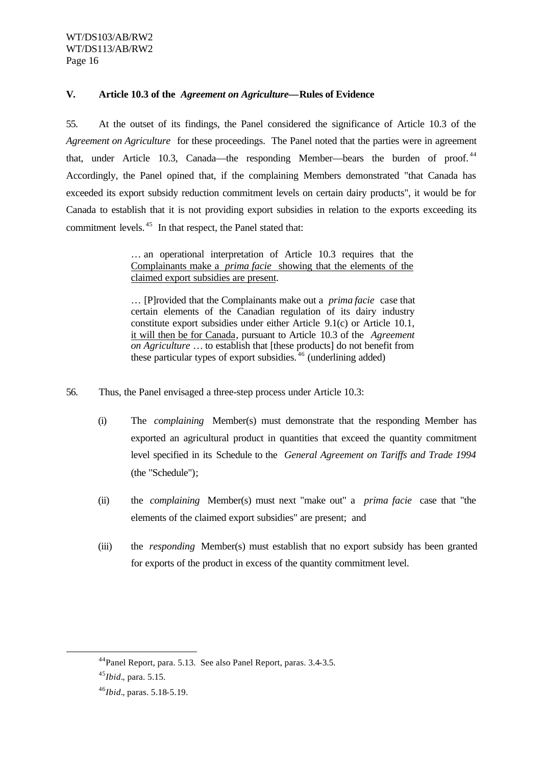#### **V. Article 10.3 of the** *Agreement on Agriculture—***Rules of Evidence**

55. At the outset of its findings, the Panel considered the significance of Article 10.3 of the *Agreement on Agriculture* for these proceedings. The Panel noted that the parties were in agreement that, under Article 10.3, Canada—the responding Member—bears the burden of proof.<sup>44</sup> Accordingly, the Panel opined that, if the complaining Members demonstrated "that Canada has exceeded its export subsidy reduction commitment levels on certain dairy products", it would be for Canada to establish that it is not providing export subsidies in relation to the exports exceeding its commitment levels.<sup>45</sup> In that respect, the Panel stated that:

> … an operational interpretation of Article 10.3 requires that the Complainants make a *prima facie* showing that the elements of the claimed export subsidies are present.

> … [P]rovided that the Complainants make out a *prima facie* case that certain elements of the Canadian regulation of its dairy industry constitute export subsidies under either Article 9.1(c) or Article 10.1, it will then be for Canada, pursuant to Article 10.3 of the *Agreement on Agriculture* … to establish that [these products] do not benefit from these particular types of export subsidies.<sup>46</sup> (underlining added)

56. Thus, the Panel envisaged a three-step process under Article 10.3:

- (i) The *complaining* Member(s) must demonstrate that the responding Member has exported an agricultural product in quantities that exceed the quantity commitment level specified in its Schedule to the *General Agreement on Tariffs and Trade 1994* (the "Schedule");
- (ii) the *complaining* Member(s) must next "make out" a *prima facie* case that "the elements of the claimed export subsidies" are present; and
- (iii) the *responding* Member(s) must establish that no export subsidy has been granted for exports of the product in excess of the quantity commitment level.

<sup>44</sup>Panel Report, para. 5.13. See also Panel Report, paras. 3.4-3.5.

<sup>45</sup>*Ibid.*, para. 5.15.

<sup>46</sup>*Ibid.*, paras. 5.18-5.19.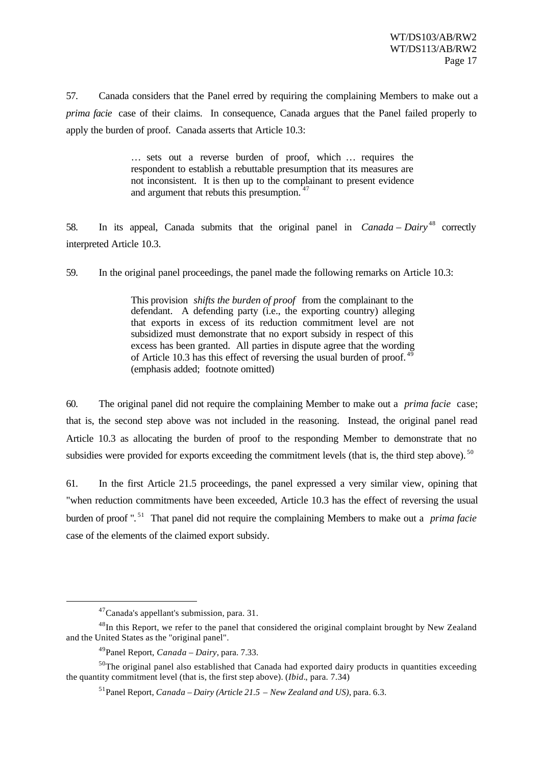57. Canada considers that the Panel erred by requiring the complaining Members to make out a *prima facie* case of their claims. In consequence, Canada argues that the Panel failed properly to apply the burden of proof. Canada asserts that Article 10.3:

> … sets out a reverse burden of proof, which … requires the respondent to establish a rebuttable presumption that its measures are not inconsistent. It is then up to the complainant to present evidence and argument that rebuts this presumption.<sup>47</sup>

58. In its appeal, Canada submits that the original panel in *Canada – Dairy*<sup>48</sup> correctly interpreted Article 10.3.

59. In the original panel proceedings, the panel made the following remarks on Article 10.3:

This provision *shifts the burden of proof* from the complainant to the defendant. A defending party (i.e., the exporting country) alleging that exports in excess of its reduction commitment level are not subsidized must demonstrate that no export subsidy in respect of this excess has been granted. All parties in dispute agree that the wording of Article 10.3 has this effect of reversing the usual burden of proof.<sup>4</sup> (emphasis added; footnote omitted)

60. The original panel did not require the complaining Member to make out a *prima facie* case; that is, the second step above was not included in the reasoning. Instead, the original panel read Article 10.3 as allocating the burden of proof to the responding Member to demonstrate that no subsidies were provided for exports exceeding the commitment levels (that is, the third step above). <sup>50</sup>

61. In the first Article 21.5 proceedings, the panel expressed a very similar view, opining that "when reduction commitments have been exceeded, Article 10.3 has the effect of reversing the usual burden of proof ". <sup>51</sup> That panel did not require the complaining Members to make out a *prima facie* case of the elements of the claimed export subsidy.

<sup>47</sup>Canada's appellant's submission, para. 31.

<sup>&</sup>lt;sup>48</sup>In this Report, we refer to the panel that considered the original complaint brought by New Zealand and the United States as the "original panel".

<sup>49</sup>Panel Report, *Canada – Dairy*, para. 7.33.

 $50$ The original panel also established that Canada had exported dairy products in quantities exceeding the quantity commitment level (that is, the first step above). (*Ibid.*, para. 7.34)

<sup>51</sup>Panel Report, *Canada – Dairy (Article 21.5 – New Zealand and US)*, para. 6.3.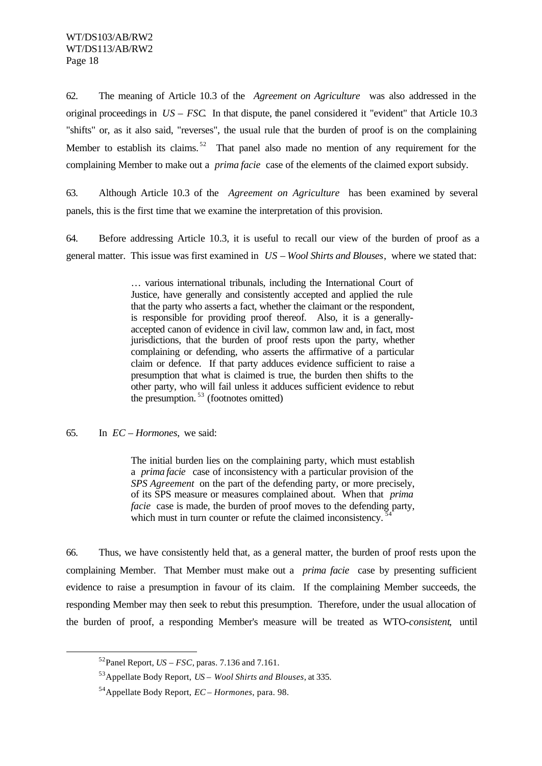62. The meaning of Article 10.3 of the *Agreement on Agriculture* was also addressed in the original proceedings in *US – FSC*. In that dispute, the panel considered it "evident" that Article 10.3 "shifts" or, as it also said, "reverses", the usual rule that the burden of proof is on the complaining Member to establish its claims.<sup>52</sup> That panel also made no mention of any requirement for the complaining Member to make out a *prima facie* case of the elements of the claimed export subsidy.

63. Although Article 10.3 of the *Agreement on Agriculture* has been examined by several panels, this is the first time that we examine the interpretation of this provision.

64. Before addressing Article 10.3, it is useful to recall our view of the burden of proof as a general matter. This issue was first examined in *US – Wool Shirts and Blouses*, where we stated that:

> … various international tribunals, including the International Court of Justice, have generally and consistently accepted and applied the rule that the party who asserts a fact, whether the claimant or the respondent, is responsible for providing proof thereof. Also, it is a generallyaccepted canon of evidence in civil law, common law and, in fact, most jurisdictions, that the burden of proof rests upon the party, whether complaining or defending, who asserts the affirmative of a particular claim or defence. If that party adduces evidence sufficient to raise a presumption that what is claimed is true, the burden then shifts to the other party, who will fail unless it adduces sufficient evidence to rebut the presumption. <sup>53</sup> (footnotes omitted)

65. In *EC – Hormones*, we said:

l

The initial burden lies on the complaining party, which must establish a *prima facie* case of inconsistency with a particular provision of the *SPS Agreement* on the part of the defending party, or more precisely, of its SPS measure or measures complained about. When that *prima facie* case is made, the burden of proof moves to the defending party, which must in turn counter or refute the claimed inconsistency.

66. Thus, we have consistently held that, as a general matter, the burden of proof rests upon the complaining Member. That Member must make out a *prima facie* case by presenting sufficient evidence to raise a presumption in favour of its claim. If the complaining Member succeeds, the responding Member may then seek to rebut this presumption. Therefore, under the usual allocation of the burden of proof, a responding Member's measure will be treated as WTO-*consistent*, until

 $52$ Panel Report, *US – FSC*, paras. 7.136 and 7.161.

<sup>53</sup>Appellate Body Report, *US – Wool Shirts and Blouses*, at 335.

<sup>54</sup>Appellate Body Report, *EC – Hormones*, para. 98.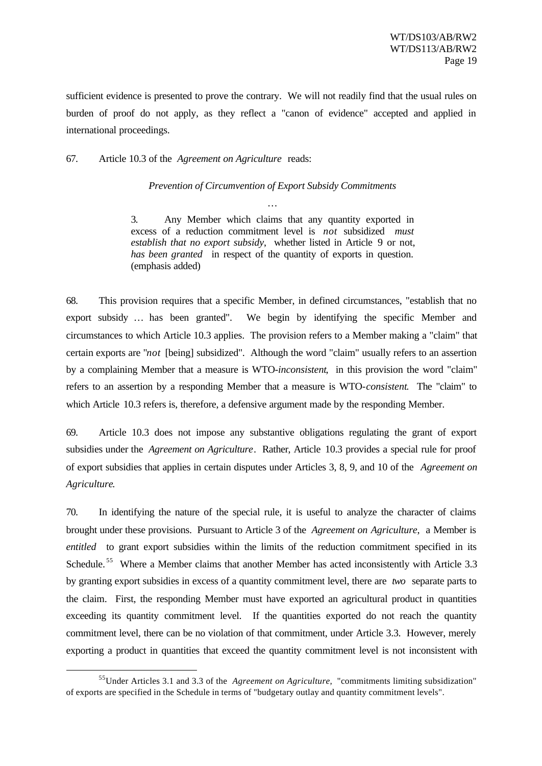sufficient evidence is presented to prove the contrary. We will not readily find that the usual rules on burden of proof do not apply, as they reflect a "canon of evidence" accepted and applied in international proceedings.

#### 67. Article 10.3 of the *Agreement on Agriculture* reads:

# *Prevention of Circumvention of Export Subsidy Commitments* …

3. Any Member which claims that any quantity exported in excess of a reduction commitment level is *not* subsidized *must establish that no export subsidy*, whether listed in Article 9 or not, *has been granted* in respect of the quantity of exports in question. (emphasis added)

68. This provision requires that a specific Member, in defined circumstances, "establish that no export subsidy … has been granted". We begin by identifying the specific Member and circumstances to which Article 10.3 applies. The provision refers to a Member making a "claim" that certain exports are "*not* [being] subsidized". Although the word "claim" usually refers to an assertion by a complaining Member that a measure is WTO-*inconsistent*, in this provision the word "claim" refers to an assertion by a responding Member that a measure is WTO-*consistent*. The "claim" to which Article 10.3 refers is, therefore, a defensive argument made by the responding Member.

69. Article 10.3 does not impose any substantive obligations regulating the grant of export subsidies under the *Agreement on Agriculture*. Rather, Article 10.3 provides a special rule for proof of export subsidies that applies in certain disputes under Articles 3, 8, 9, and 10 of the *Agreement on Agriculture*.

70. In identifying the nature of the special rule, it is useful to analyze the character of claims brought under these provisions. Pursuant to Article 3 of the *Agreement on Agriculture*, a Member is *entitled* to grant export subsidies within the limits of the reduction commitment specified in its Schedule.<sup>55</sup> Where a Member claims that another Member has acted inconsistently with Article 3.3 by granting export subsidies in excess of a quantity commitment level, there are *two* separate parts to the claim. First, the responding Member must have exported an agricultural product in quantities exceeding its quantity commitment level. If the quantities exported do not reach the quantity commitment level, there can be no violation of that commitment, under Article 3.3. However, merely exporting a product in quantities that exceed the quantity commitment level is not inconsistent with

<sup>55</sup>Under Articles 3.1 and 3.3 of the *Agreement on Agriculture*, "commitments limiting subsidization" of exports are specified in the Schedule in terms of "budgetary outlay and quantity commitment levels".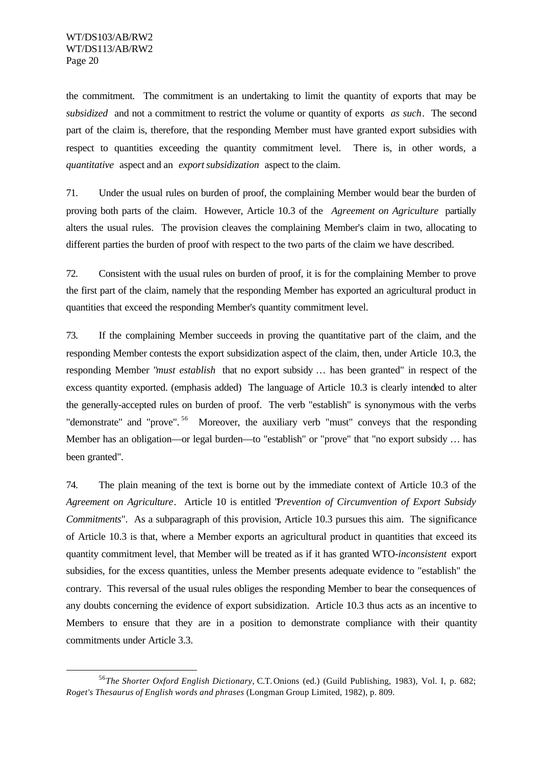l

the commitment. The commitment is an undertaking to limit the quantity of exports that may be *subsidized* and not a commitment to restrict the volume or quantity of exports *as such*. The second part of the claim is, therefore, that the responding Member must have granted export subsidies with respect to quantities exceeding the quantity commitment level. There is, in other words, a *quantitative* aspect and an *export subsidization* aspect to the claim.

71. Under the usual rules on burden of proof, the complaining Member would bear the burden of proving both parts of the claim. However, Article 10.3 of the *Agreement on Agriculture* partially alters the usual rules. The provision cleaves the complaining Member's claim in two, allocating to different parties the burden of proof with respect to the two parts of the claim we have described.

72. Consistent with the usual rules on burden of proof, it is for the complaining Member to prove the first part of the claim, namely that the responding Member has exported an agricultural product in quantities that exceed the responding Member's quantity commitment level.

73. If the complaining Member succeeds in proving the quantitative part of the claim, and the responding Member contests the export subsidization aspect of the claim, then, under Article 10.3, the responding Member "*must establish* that no export subsidy … has been granted" in respect of the excess quantity exported. (emphasis added) The language of Article 10.3 is clearly intended to alter the generally-accepted rules on burden of proof. The verb "establish" is synonymous with the verbs "demonstrate" and "prove".<sup>56</sup> Moreover, the auxiliary verb "must" conveys that the responding Member has an obligation—or legal burden—to "establish" or "prove" that "no export subsidy … has been granted".

74. The plain meaning of the text is borne out by the immediate context of Article 10.3 of the *Agreement on Agriculture*. Article 10 is entitled "*Prevention of Circumvention of Export Subsidy Commitments*". As a subparagraph of this provision, Article 10.3 pursues this aim. The significance of Article 10.3 is that, where a Member exports an agricultural product in quantities that exceed its quantity commitment level, that Member will be treated as if it has granted WTO-*inconsistent* export subsidies, for the excess quantities, unless the Member presents adequate evidence to "establish" the contrary. This reversal of the usual rules obliges the responding Member to bear the consequences of any doubts concerning the evidence of export subsidization. Article 10.3 thus acts as an incentive to Members to ensure that they are in a position to demonstrate compliance with their quantity commitments under Article 3.3.

<sup>56</sup>*The Shorter Oxford English Dictionary*, C.T.Onions (ed.) (Guild Publishing, 1983), Vol. I, p. 682; *Roget's Thesaurus of English words and phrases* (Longman Group Limited, 1982), p. 809.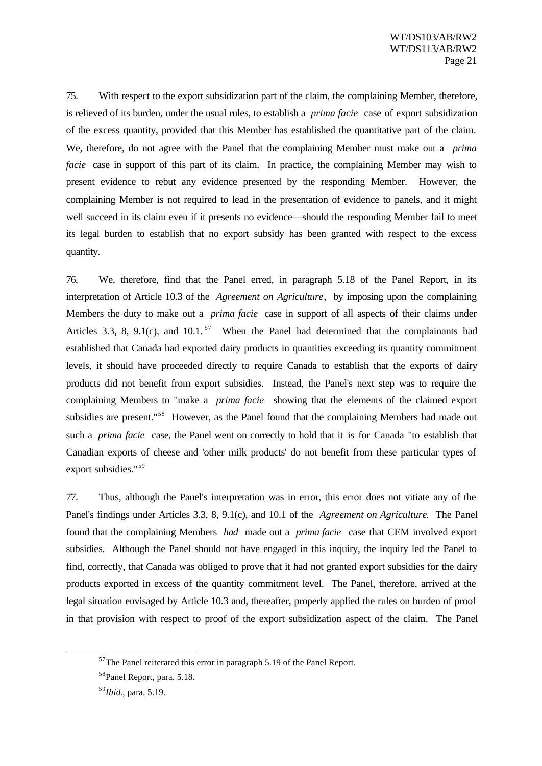75. With respect to the export subsidization part of the claim, the complaining Member, therefore, is relieved of its burden, under the usual rules, to establish a *prima facie* case of export subsidization of the excess quantity, provided that this Member has established the quantitative part of the claim. We, therefore, do not agree with the Panel that the complaining Member must make out a *prima facie* case in support of this part of its claim. In practice, the complaining Member may wish to present evidence to rebut any evidence presented by the responding Member. However, the complaining Member is not required to lead in the presentation of evidence to panels, and it might well succeed in its claim even if it presents no evidence—should the responding Member fail to meet its legal burden to establish that no export subsidy has been granted with respect to the excess quantity.

76. We, therefore, find that the Panel erred, in paragraph 5.18 of the Panel Report, in its interpretation of Article 10.3 of the *Agreement on Agriculture*, by imposing upon the complaining Members the duty to make out a *prima facie* case in support of all aspects of their claims under Articles 3.3, 8, 9.1(c), and 10.1.<sup>57</sup> When the Panel had determined that the complainants had established that Canada had exported dairy products in quantities exceeding its quantity commitment levels, it should have proceeded directly to require Canada to establish that the exports of dairy products did not benefit from export subsidies. Instead, the Panel's next step was to require the complaining Members to "make a *prima facie* showing that the elements of the claimed export subsidies are present."<sup>58</sup> However, as the Panel found that the complaining Members had made out such a *prima facie* case, the Panel went on correctly to hold that it is for Canada "to establish that Canadian exports of cheese and 'other milk products' do not benefit from these particular types of export subsidies."<sup>59</sup>

77. Thus, although the Panel's interpretation was in error, this error does not vitiate any of the Panel's findings under Articles 3.3, 8, 9.1(c), and 10.1 of the *Agreement on Agriculture*. The Panel found that the complaining Members *had* made out a *prima facie* case that CEM involved export subsidies. Although the Panel should not have engaged in this inquiry, the inquiry led the Panel to find, correctly, that Canada was obliged to prove that it had not granted export subsidies for the dairy products exported in excess of the quantity commitment level. The Panel, therefore, arrived at the legal situation envisaged by Article 10.3 and, thereafter, properly applied the rules on burden of proof in that provision with respect to proof of the export subsidization aspect of the claim. The Panel

<sup>&</sup>lt;sup>57</sup>The Panel reiterated this error in paragraph 5.19 of the Panel Report.

<sup>58</sup>Panel Report, para. 5.18.

<sup>59</sup>*Ibid.*, para. 5.19.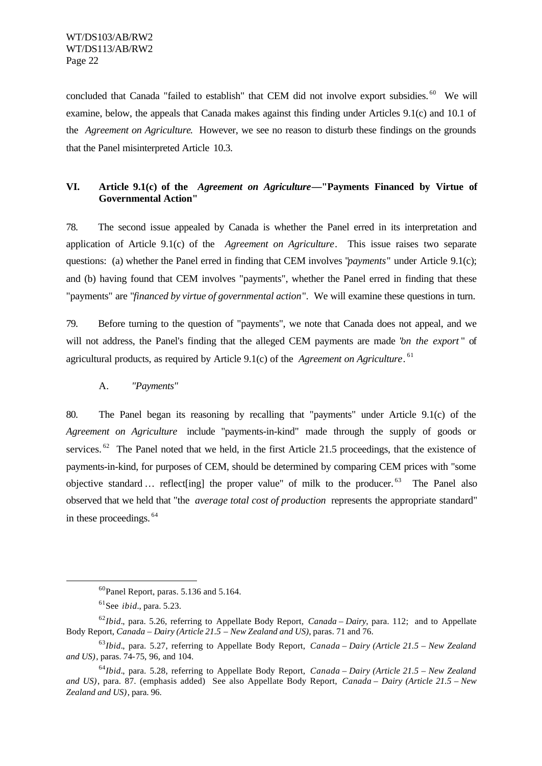concluded that Canada "failed to establish" that CEM did not involve export subsidies.<sup>60</sup> We will examine, below, the appeals that Canada makes against this finding under Articles 9.1(c) and 10.1 of the *Agreement on Agriculture*. However, we see no reason to disturb these findings on the grounds that the Panel misinterpreted Article 10.3.

# **VI. Article 9.1(c) of the** *Agreement on Agriculture***—"Payments Financed by Virtue of Governmental Action"**

78. The second issue appealed by Canada is whether the Panel erred in its interpretation and application of Article 9.1(c) of the *Agreement on Agriculture*. This issue raises two separate questions: (a) whether the Panel erred in finding that CEM involves "*payments*" under Article 9.1(c); and (b) having found that CEM involves "payments", whether the Panel erred in finding that these "payments" are "*financed by virtue of governmental action*". We will examine these questions in turn.

79. Before turning to the question of "payments", we note that Canada does not appeal, and we will not address, the Panel's finding that the alleged CEM payments are made "*on the export* " of agricultural products, as required by Article 9.1(c) of the *Agreement on Agriculture*. 61

A. *"Payments"*

80. The Panel began its reasoning by recalling that "payments" under Article 9.1(c) of the *Agreement on Agriculture* include "payments-in-kind" made through the supply of goods or services. <sup>62</sup> The Panel noted that we held, in the first Article 21.5 proceedings, that the existence of payments-in-kind, for purposes of CEM, should be determined by comparing CEM prices with "some objective standard ... reflect [ing] the proper value" of milk to the producer.  $63$  The Panel also observed that we held that "the *average total cost of production* represents the appropriate standard" in these proceedings. <sup>64</sup>

 $60$ Panel Report, paras. 5.136 and 5.164.

<sup>61</sup>See *ibid.*, para. 5.23.

<sup>62</sup>*Ibid.*, para. 5.26, referring to Appellate Body Report, *Canada – Dairy*, para. 112; and to Appellate Body Report, *Canada – Dairy (Article 21.5 – New Zealand and US)*, paras. 71 and 76.

<sup>63</sup>*Ibid.*, para. 5.27, referring to Appellate Body Report, *Canada – Dairy (Article 21.5 – New Zealand and US)*, paras. 74-75, 96, and 104.

<sup>64</sup>*Ibid.*, para. 5.28, referring to Appellate Body Report, *Canada – Dairy (Article 21.5 – New Zealand and US)*, para. 87. (emphasis added) See also Appellate Body Report, *Canada – Dairy (Article 21.5 – New Zealand and US)*, para. 96.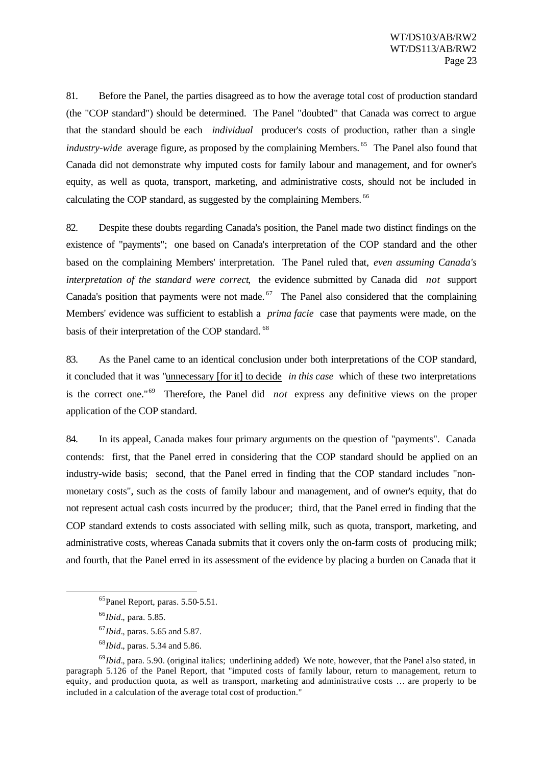81. Before the Panel, the parties disagreed as to how the average total cost of production standard (the "COP standard") should be determined. The Panel "doubted" that Canada was correct to argue that the standard should be each *individual* producer's costs of production, rather than a single *industry-wide* average figure, as proposed by the complaining Members.<sup>65</sup> The Panel also found that Canada did not demonstrate why imputed costs for family labour and management, and for owner's equity, as well as quota, transport, marketing, and administrative costs, should not be included in calculating the COP standard, as suggested by the complaining Members. <sup>66</sup>

82. Despite these doubts regarding Canada's position, the Panel made two distinct findings on the existence of "payments"; one based on Canada's interpretation of the COP standard and the other based on the complaining Members' interpretation. The Panel ruled that, *even assuming Canada's interpretation of the standard were correct*, the evidence submitted by Canada did *not* support Canada's position that payments were not made.  $67$  The Panel also considered that the complaining Members' evidence was sufficient to establish a *prima facie* case that payments were made, on the basis of their interpretation of the COP standard. <sup>68</sup>

83. As the Panel came to an identical conclusion under both interpretations of the COP standard, it concluded that it was "unnecessary [for it] to decide *in this case* which of these two interpretations is the correct one."<sup>69</sup> Therefore, the Panel did *not* express any definitive views on the proper application of the COP standard.

84. In its appeal, Canada makes four primary arguments on the question of "payments". Canada contends: first, that the Panel erred in considering that the COP standard should be applied on an industry-wide basis; second, that the Panel erred in finding that the COP standard includes "nonmonetary costs", such as the costs of family labour and management, and of owner's equity, that do not represent actual cash costs incurred by the producer; third, that the Panel erred in finding that the COP standard extends to costs associated with selling milk, such as quota, transport, marketing, and administrative costs, whereas Canada submits that it covers only the on-farm costs of producing milk; and fourth, that the Panel erred in its assessment of the evidence by placing a burden on Canada that it

<sup>65</sup>Panel Report, paras. 5.50-5.51.

<sup>66</sup>*Ibid.*, para. 5.85.

<sup>67</sup>*Ibid.*, paras. 5.65 and 5.87.

<sup>68</sup>*Ibid.*, paras. 5.34 and 5.86.

<sup>&</sup>lt;sup>69</sup>*Ibid.*, para. 5.90. (original italics; underlining added) We note, however, that the Panel also stated, in paragraph 5.126 of the Panel Report, that "imputed costs of family labour, return to management, return to equity, and production quota, as well as transport, marketing and administrative costs … are properly to be included in a calculation of the average total cost of production."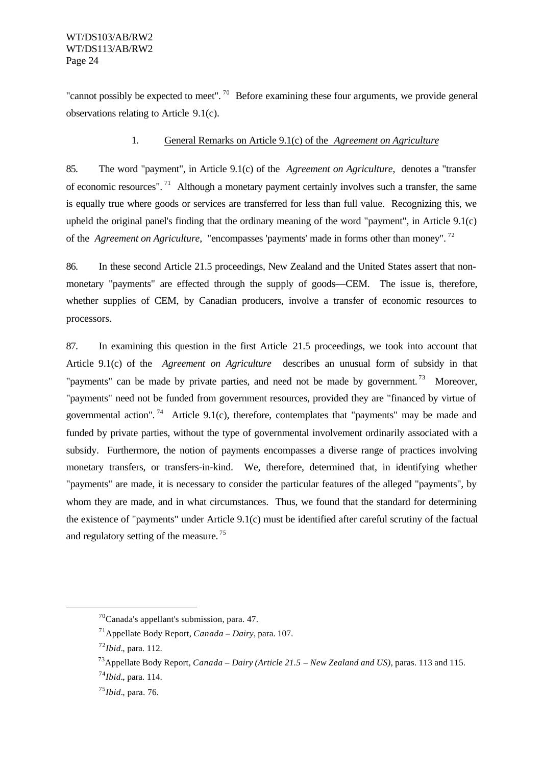"cannot possibly be expected to meet".<sup>70</sup> Before examining these four arguments, we provide general observations relating to Article 9.1(c).

#### 1. General Remarks on Article 9.1(c) of the *Agreement on Agriculture*

85. The word "payment", in Article 9.1(c) of the *Agreement on Agriculture*, denotes a "transfer of economic resources". <sup>71</sup> Although a monetary payment certainly involves such a transfer, the same is equally true where goods or services are transferred for less than full value. Recognizing this, we upheld the original panel's finding that the ordinary meaning of the word "payment", in Article 9.1(c) of the *Agreement on Agriculture*, "encompasses 'payments' made in forms other than money". <sup>72</sup>

86. In these second Article 21.5 proceedings, New Zealand and the United States assert that nonmonetary "payments" are effected through the supply of goods—CEM. The issue is, therefore, whether supplies of CEM, by Canadian producers, involve a transfer of economic resources to processors.

87. In examining this question in the first Article 21.5 proceedings, we took into account that Article 9.1(c) of the *Agreement on Agriculture* describes an unusual form of subsidy in that "payments" can be made by private parties, and need not be made by government.<sup>73</sup> Moreover. "payments" need not be funded from government resources, provided they are "financed by virtue of governmental action". <sup>74</sup> Article 9.1(c), therefore, contemplates that "payments" may be made and funded by private parties, without the type of governmental involvement ordinarily associated with a subsidy. Furthermore, the notion of payments encompasses a diverse range of practices involving monetary transfers, or transfers-in-kind. We, therefore, determined that, in identifying whether "payments" are made, it is necessary to consider the particular features of the alleged "payments", by whom they are made, and in what circumstances. Thus, we found that the standard for determining the existence of "payments" under Article 9.1(c) must be identified after careful scrutiny of the factual and regulatory setting of the measure.<sup>75</sup>

 ${}^{70}$ Canada's appellant's submission, para. 47.

<sup>71</sup>Appellate Body Report, *Canada – Dairy*, para. 107.

<sup>72</sup>*Ibid.*, para. 112.

<sup>73</sup>Appellate Body Report, *Canada – Dairy (Article 21.5 – New Zealand and US)*, paras. 113 and 115.

<sup>74</sup>*Ibid.*, para. 114.

<sup>75</sup>*Ibid.*, para. 76.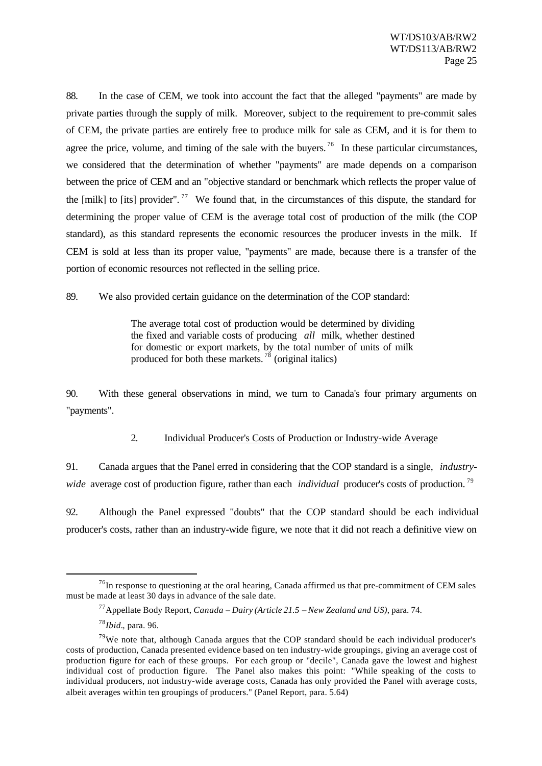88. In the case of CEM, we took into account the fact that the alleged "payments" are made by private parties through the supply of milk. Moreover, subject to the requirement to pre-commit sales of CEM, the private parties are entirely free to produce milk for sale as CEM, and it is for them to agree the price, volume, and timing of the sale with the buyers.<sup>76</sup> In these particular circumstances, we considered that the determination of whether "payments" are made depends on a comparison between the price of CEM and an "objective standard or benchmark which reflects the proper value of the [milk] to [its] provider".<sup>77</sup> We found that, in the circumstances of this dispute, the standard for determining the proper value of CEM is the average total cost of production of the milk (the COP standard), as this standard represents the economic resources the producer invests in the milk. If CEM is sold at less than its proper value, "payments" are made, because there is a transfer of the portion of economic resources not reflected in the selling price.

89. We also provided certain guidance on the determination of the COP standard:

The average total cost of production would be determined by dividing the fixed and variable costs of producing *all* milk, whether destined for domestic or export markets, by the total number of units of milk produced for both these markets.<sup>78</sup> (original italics)

90. With these general observations in mind, we turn to Canada's four primary arguments on "payments".

#### 2. Individual Producer's Costs of Production or Industry-wide Average

91. Canada argues that the Panel erred in considering that the COP standard is a single, *industrywide* average cost of production figure, rather than each *individual* producer's costs of production.<sup>79</sup>

92. Although the Panel expressed "doubts" that the COP standard should be each individual producer's costs, rather than an industry-wide figure, we note that it did not reach a definitive view on

<sup>&</sup>lt;sup>76</sup>In response to questioning at the oral hearing, Canada affirmed us that pre-commitment of CEM sales must be made at least 30 days in advance of the sale date.

<sup>77</sup>Appellate Body Report, *Canada – Dairy (Article 21.5 – New Zealand and US)*, para. 74.

<sup>78</sup>*Ibid.*, para. 96.

 $79W$ e note that, although Canada argues that the COP standard should be each individual producer's costs of production, Canada presented evidence based on ten industry-wide groupings, giving an average cost of production figure for each of these groups. For each group or "decile", Canada gave the lowest and highest individual cost of production figure. The Panel also makes this point: "While speaking of the costs to individual producers, not industry-wide average costs, Canada has only provided the Panel with average costs, albeit averages within ten groupings of producers." (Panel Report, para. 5.64)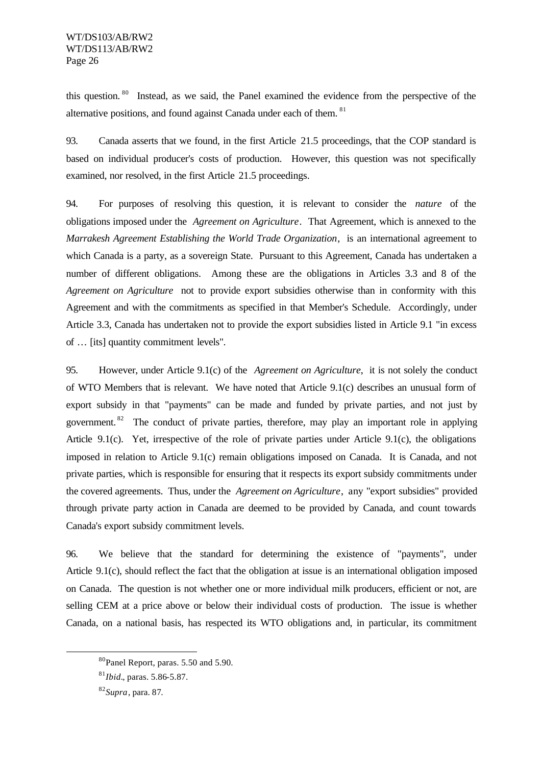this question. <sup>80</sup> Instead, as we said, the Panel examined the evidence from the perspective of the alternative positions, and found against Canada under each of them. <sup>81</sup>

93. Canada asserts that we found, in the first Article 21.5 proceedings, that the COP standard is based on individual producer's costs of production. However, this question was not specifically examined, nor resolved, in the first Article 21.5 proceedings.

94. For purposes of resolving this question, it is relevant to consider the *nature* of the obligations imposed under the *Agreement on Agriculture*. That Agreement, which is annexed to the *Marrakesh Agreement Establishing the World Trade Organization*, is an international agreement to which Canada is a party, as a sovereign State. Pursuant to this Agreement, Canada has undertaken a number of different obligations. Among these are the obligations in Articles 3.3 and 8 of the *Agreement on Agriculture* not to provide export subsidies otherwise than in conformity with this Agreement and with the commitments as specified in that Member's Schedule. Accordingly, under Article 3.3, Canada has undertaken not to provide the export subsidies listed in Article 9.1 "in excess of … [its] quantity commitment levels".

95. However, under Article 9.1(c) of the *Agreement on Agriculture*, it is not solely the conduct of WTO Members that is relevant. We have noted that Article 9.1(c) describes an unusual form of export subsidy in that "payments" can be made and funded by private parties, and not just by government.<sup>82</sup> The conduct of private parties, therefore, may play an important role in applying Article 9.1(c). Yet, irrespective of the role of private parties under Article 9.1(c), the obligations imposed in relation to Article 9.1(c) remain obligations imposed on Canada. It is Canada, and not private parties, which is responsible for ensuring that it respects its export subsidy commitments under the covered agreements. Thus, under the *Agreement on Agriculture*, any "export subsidies" provided through private party action in Canada are deemed to be provided by Canada, and count towards Canada's export subsidy commitment levels.

96. We believe that the standard for determining the existence of "payments", under Article 9.1(c), should reflect the fact that the obligation at issue is an international obligation imposed on Canada. The question is not whether one or more individual milk producers, efficient or not, are selling CEM at a price above or below their individual costs of production. The issue is whether Canada, on a national basis, has respected its WTO obligations and, in particular, its commitment

<sup>80</sup>Panel Report, paras. 5.50 and 5.90.

<sup>81</sup>*Ibid.*, paras. 5.86-5.87.

<sup>82</sup>*Supra*, para. 87.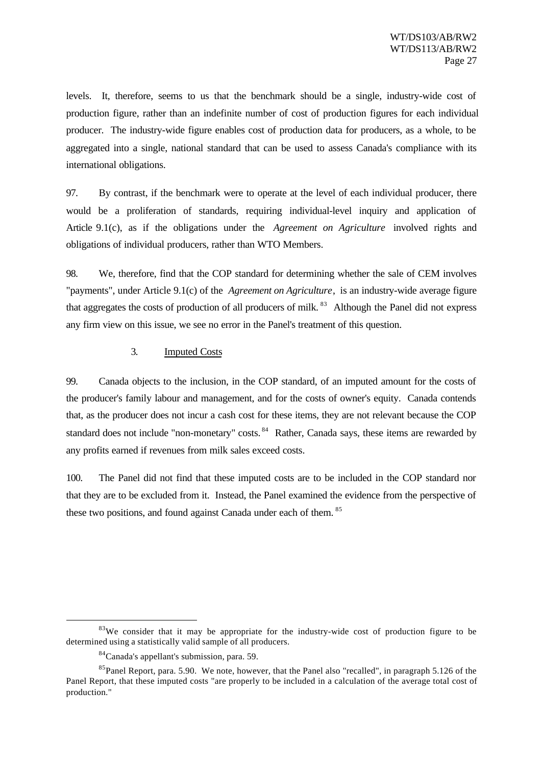levels. It, therefore, seems to us that the benchmark should be a single, industry-wide cost of production figure, rather than an indefinite number of cost of production figures for each individual producer. The industry-wide figure enables cost of production data for producers, as a whole, to be aggregated into a single, national standard that can be used to assess Canada's compliance with its international obligations.

97. By contrast, if the benchmark were to operate at the level of each individual producer, there would be a proliferation of standards, requiring individual-level inquiry and application of Article 9.1(c), as if the obligations under the *Agreement on Agriculture* involved rights and obligations of individual producers, rather than WTO Members.

98. We, therefore, find that the COP standard for determining whether the sale of CEM involves "payments", under Article 9.1(c) of the *Agreement on Agriculture*, is an industry-wide average figure that aggregates the costs of production of all producers of milk.<sup>83</sup> Although the Panel did not express any firm view on this issue, we see no error in the Panel's treatment of this question.

#### 3. Imputed Costs

99. Canada objects to the inclusion, in the COP standard, of an imputed amount for the costs of the producer's family labour and management, and for the costs of owner's equity. Canada contends that, as the producer does not incur a cash cost for these items, they are not relevant because the COP standard does not include "non-monetary" costs. <sup>84</sup> Rather, Canada says, these items are rewarded by any profits earned if revenues from milk sales exceed costs.

100. The Panel did not find that these imputed costs are to be included in the COP standard nor that they are to be excluded from it. Instead, the Panel examined the evidence from the perspective of these two positions, and found against Canada under each of them.<sup>85</sup>

 $83$ We consider that it may be appropriate for the industry-wide cost of production figure to be determined using a statistically valid sample of all producers.

<sup>84</sup>Canada's appellant's submission, para. 59.

<sup>&</sup>lt;sup>85</sup>Panel Report, para. 5.90. We note, however, that the Panel also "recalled", in paragraph 5.126 of the Panel Report, that these imputed costs "are properly to be included in a calculation of the average total cost of production."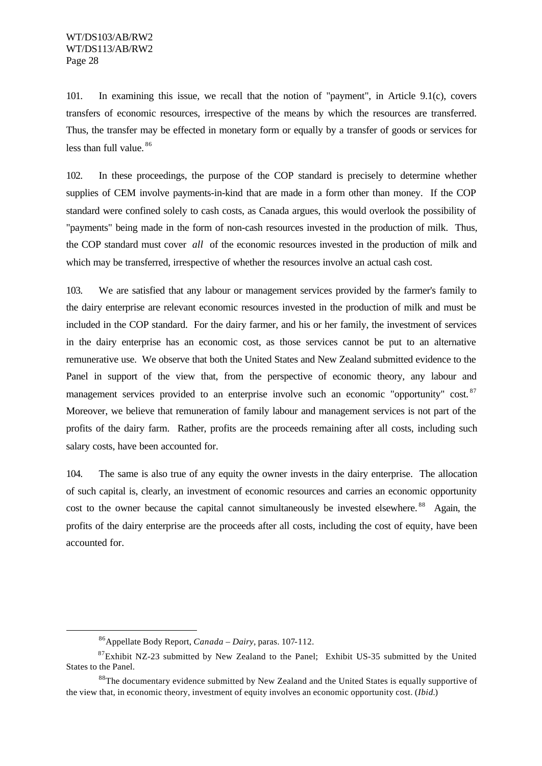101. In examining this issue, we recall that the notion of "payment", in Article 9.1(c), covers transfers of economic resources, irrespective of the means by which the resources are transferred. Thus, the transfer may be effected in monetary form or equally by a transfer of goods or services for less than full value.<sup>86</sup>

102. In these proceedings, the purpose of the COP standard is precisely to determine whether supplies of CEM involve payments-in-kind that are made in a form other than money. If the COP standard were confined solely to cash costs, as Canada argues, this would overlook the possibility of "payments" being made in the form of non-cash resources invested in the production of milk. Thus, the COP standard must cover *all* of the economic resources invested in the production of milk and which may be transferred, irrespective of whether the resources involve an actual cash cost.

103. We are satisfied that any labour or management services provided by the farmer's family to the dairy enterprise are relevant economic resources invested in the production of milk and must be included in the COP standard. For the dairy farmer, and his or her family, the investment of services in the dairy enterprise has an economic cost, as those services cannot be put to an alternative remunerative use. We observe that both the United States and New Zealand submitted evidence to the Panel in support of the view that, from the perspective of economic theory, any labour and management services provided to an enterprise involve such an economic "opportunity" cost. <sup>87</sup> Moreover, we believe that remuneration of family labour and management services is not part of the profits of the dairy farm. Rather, profits are the proceeds remaining after all costs, including such salary costs, have been accounted for.

104. The same is also true of any equity the owner invests in the dairy enterprise. The allocation of such capital is, clearly, an investment of economic resources and carries an economic opportunity cost to the owner because the capital cannot simultaneously be invested elsewhere.<sup>88</sup> Again, the profits of the dairy enterprise are the proceeds after all costs, including the cost of equity, have been accounted for.

<sup>86</sup>Appellate Body Report, *Canada – Dairy*, paras. 107-112.

 $87$ Exhibit NZ-23 submitted by New Zealand to the Panel; Exhibit US-35 submitted by the United States to the Panel.

 $88$ The documentary evidence submitted by New Zealand and the United States is equally supportive of the view that, in economic theory, investment of equity involves an economic opportunity cost. (*Ibid.*)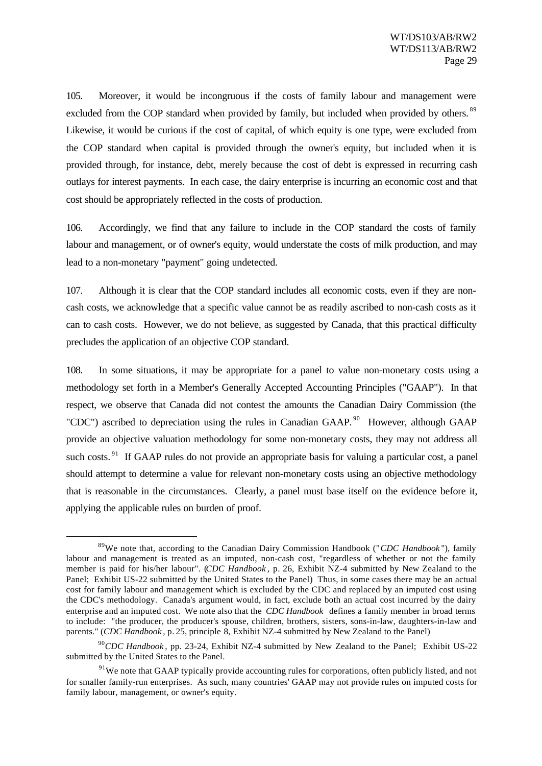105. Moreover, it would be incongruous if the costs of family labour and management were excluded from the COP standard when provided by family, but included when provided by others. <sup>89</sup> Likewise, it would be curious if the cost of capital, of which equity is one type, were excluded from the COP standard when capital is provided through the owner's equity, but included when it is provided through, for instance, debt, merely because the cost of debt is expressed in recurring cash outlays for interest payments. In each case, the dairy enterprise is incurring an economic cost and that cost should be appropriately reflected in the costs of production.

106. Accordingly, we find that any failure to include in the COP standard the costs of family labour and management, or of owner's equity, would understate the costs of milk production, and may lead to a non-monetary "payment" going undetected.

107. Although it is clear that the COP standard includes all economic costs, even if they are noncash costs, we acknowledge that a specific value cannot be as readily ascribed to non-cash costs as it can to cash costs. However, we do not believe, as suggested by Canada, that this practical difficulty precludes the application of an objective COP standard.

108. In some situations, it may be appropriate for a panel to value non-monetary costs using a methodology set forth in a Member's Generally Accepted Accounting Principles ("GAAP"). In that respect, we observe that Canada did not contest the amounts the Canadian Dairy Commission (the "CDC") ascribed to depreciation using the rules in Canadian GAAP.<sup>90</sup> However, although GAAP provide an objective valuation methodology for some non-monetary costs, they may not address all such costs. <sup>91</sup> If GAAP rules do not provide an appropriate basis for valuing a particular cost, a panel should attempt to determine a value for relevant non-monetary costs using an objective methodology that is reasonable in the circumstances. Clearly, a panel must base itself on the evidence before it, applying the applicable rules on burden of proof.

<sup>89</sup>We note that, according to the Canadian Dairy Commission Handbook ("*CDC Handbook* "), family labour and management is treated as an imputed, non-cash cost, "regardless of whether or not the family member is paid for his/her labour". (*CDC Handbook* , p. 26, Exhibit NZ-4 submitted by New Zealand to the Panel; Exhibit US-22 submitted by the United States to the Panel) Thus, in some cases there may be an actual cost for family labour and management which is excluded by the CDC and replaced by an imputed cost using the CDC's methodology. Canada's argument would, in fact, exclude both an actual cost incurred by the dairy enterprise and an imputed cost. We note also that the *CDC Handbook* defines a family member in broad terms to include: "the producer, the producer's spouse, children, brothers, sisters, sons-in-law, daughters-in-law and parents." (*CDC Handbook* , p. 25, principle 8, Exhibit NZ-4 submitted by New Zealand to the Panel)

<sup>90</sup>*CDC Handbook* , pp. 23-24, Exhibit NZ-4 submitted by New Zealand to the Panel; Exhibit US-22 submitted by the United States to the Panel.

<sup>&</sup>lt;sup>91</sup>We note that GAAP typically provide accounting rules for corporations, often publicly listed, and not for smaller family-run enterprises. As such, many countries' GAAP may not provide rules on imputed costs for family labour, management, or owner's equity.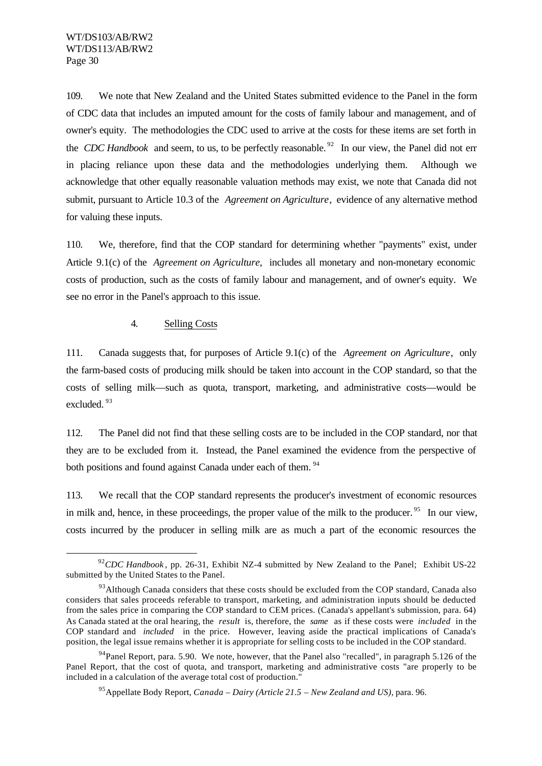l

109. We note that New Zealand and the United States submitted evidence to the Panel in the form of CDC data that includes an imputed amount for the costs of family labour and management, and of owner's equity. The methodologies the CDC used to arrive at the costs for these items are set forth in the *CDC Handbook* and seem, to us, to be perfectly reasonable.<sup>92</sup> In our view, the Panel did not err in placing reliance upon these data and the methodologies underlying them. Although we acknowledge that other equally reasonable valuation methods may exist, we note that Canada did not submit, pursuant to Article 10.3 of the *Agreement on Agriculture*, evidence of any alternative method for valuing these inputs.

110. We, therefore, find that the COP standard for determining whether "payments" exist, under Article 9.1(c) of the *Agreement on Agriculture*, includes all monetary and non-monetary economic costs of production, such as the costs of family labour and management, and of owner's equity. We see no error in the Panel's approach to this issue.

#### 4. Selling Costs

111. Canada suggests that, for purposes of Article 9.1(c) of the *Agreement on Agriculture*, only the farm-based costs of producing milk should be taken into account in the COP standard, so that the costs of selling milk—such as quota, transport, marketing, and administrative costs—would be excluded. <sup>93</sup>

112. The Panel did not find that these selling costs are to be included in the COP standard, nor that they are to be excluded from it. Instead, the Panel examined the evidence from the perspective of both positions and found against Canada under each of them.<sup>94</sup>

113. We recall that the COP standard represents the producer's investment of economic resources in milk and, hence, in these proceedings, the proper value of the milk to the producer.  $95$  In our view. costs incurred by the producer in selling milk are as much a part of the economic resources the

<sup>92</sup>*CDC Handbook* , pp. 26-31, Exhibit NZ-4 submitted by New Zealand to the Panel; Exhibit US-22 submitted by the United States to the Panel.

 $93$ Although Canada considers that these costs should be excluded from the COP standard, Canada also considers that sales proceeds referable to transport, marketing, and administration inputs should be deducted from the sales price in comparing the COP standard to CEM prices. (Canada's appellant's submission, para. 64) As Canada stated at the oral hearing, the *result* is, therefore, the *same* as if these costs were *included* in the COP standard and *included* in the price. However, leaving aside the practical implications of Canada's position, the legal issue remains whether it is appropriate for selling costs to be included in the COP standard.

 $94$ Panel Report, para. 5.90. We note, however, that the Panel also "recalled", in paragraph 5.126 of the Panel Report, that the cost of quota, and transport, marketing and administrative costs "are properly to be included in a calculation of the average total cost of production."

<sup>95</sup>Appellate Body Report, *Canada – Dairy (Article 21.5 – New Zealand and US)*, para. 96.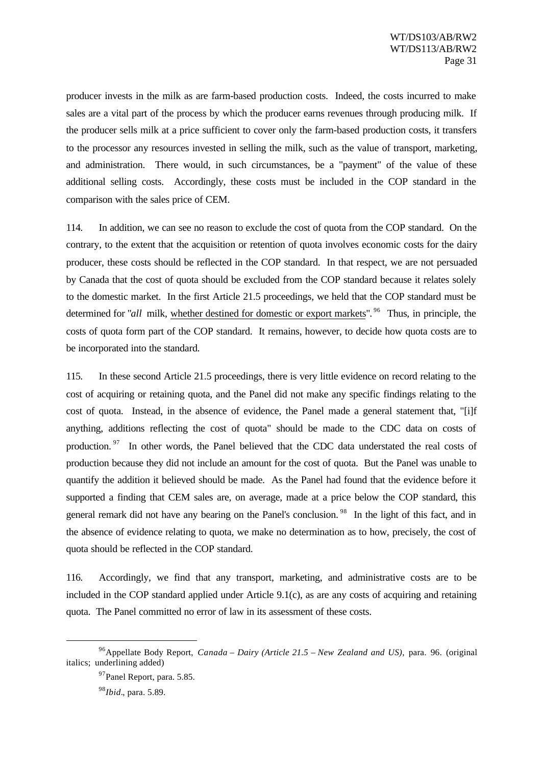producer invests in the milk as are farm-based production costs. Indeed, the costs incurred to make sales are a vital part of the process by which the producer earns revenues through producing milk. If the producer sells milk at a price sufficient to cover only the farm-based production costs, it transfers to the processor any resources invested in selling the milk, such as the value of transport, marketing, and administration. There would, in such circumstances, be a "payment" of the value of these additional selling costs. Accordingly, these costs must be included in the COP standard in the comparison with the sales price of CEM.

114. In addition, we can see no reason to exclude the cost of quota from the COP standard. On the contrary, to the extent that the acquisition or retention of quota involves economic costs for the dairy producer, these costs should be reflected in the COP standard. In that respect, we are not persuaded by Canada that the cost of quota should be excluded from the COP standard because it relates solely to the domestic market. In the first Article 21.5 proceedings, we held that the COP standard must be determined for "*all* milk, whether destined for domestic or export markets". <sup>96</sup> Thus, in principle, the costs of quota form part of the COP standard. It remains, however, to decide how quota costs are to be incorporated into the standard.

115. In these second Article 21.5 proceedings, there is very little evidence on record relating to the cost of acquiring or retaining quota, and the Panel did not make any specific findings relating to the cost of quota. Instead, in the absence of evidence, the Panel made a general statement that, "[i]f anything, additions reflecting the cost of quota" should be made to the CDC data on costs of production.<sup>97</sup> In other words, the Panel believed that the CDC data understated the real costs of production because they did not include an amount for the cost of quota. But the Panel was unable to quantify the addition it believed should be made. As the Panel had found that the evidence before it supported a finding that CEM sales are, on average, made at a price below the COP standard, this general remark did not have any bearing on the Panel's conclusion.<sup>98</sup> In the light of this fact, and in the absence of evidence relating to quota, we make no determination as to how, precisely, the cost of quota should be reflected in the COP standard.

116. Accordingly, we find that any transport, marketing, and administrative costs are to be included in the COP standard applied under Article 9.1(c), as are any costs of acquiring and retaining quota. The Panel committed no error of law in its assessment of these costs.

<sup>96</sup>Appellate Body Report, *Canada – Dairy (Article 21.5 – New Zealand and US)*, para. 96. (original italics; underlining added)

<sup>&</sup>lt;sup>97</sup>Panel Report, para. 5.85.

<sup>98</sup>*Ibid.*, para. 5.89.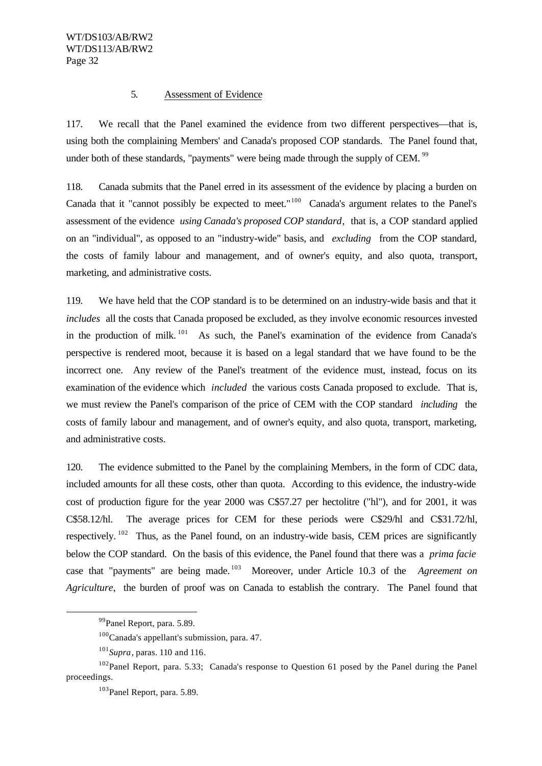#### 5. Assessment of Evidence

117. We recall that the Panel examined the evidence from two different perspectives—that is, using both the complaining Members' and Canada's proposed COP standards. The Panel found that, under both of these standards, "payments" were being made through the supply of CEM. <sup>99</sup>

118. Canada submits that the Panel erred in its assessment of the evidence by placing a burden on Canada that it "cannot possibly be expected to meet."<sup>100</sup> Canada's argument relates to the Panel's assessment of the evidence *using Canada's proposed COP standard*, that is, a COP standard applied on an "individual", as opposed to an "industry-wide" basis, and *excluding* from the COP standard, the costs of family labour and management, and of owner's equity, and also quota, transport, marketing, and administrative costs.

119. We have held that the COP standard is to be determined on an industry-wide basis and that it *includes* all the costs that Canada proposed be excluded, as they involve economic resources invested in the production of milk. <sup>101</sup> As such, the Panel's examination of the evidence from Canada's perspective is rendered moot, because it is based on a legal standard that we have found to be the incorrect one. Any review of the Panel's treatment of the evidence must, instead, focus on its examination of the evidence which *included* the various costs Canada proposed to exclude. That is, we must review the Panel's comparison of the price of CEM with the COP standard *including* the costs of family labour and management, and of owner's equity, and also quota, transport, marketing, and administrative costs.

120. The evidence submitted to the Panel by the complaining Members, in the form of CDC data, included amounts for all these costs, other than quota. According to this evidence, the industry-wide cost of production figure for the year 2000 was C\$57.27 per hectolitre ("hl"), and for 2001, it was C\$58.12/hl. The average prices for CEM for these periods were C\$29/hl and C\$31.72/hl, respectively. <sup>102</sup> Thus, as the Panel found, on an industry-wide basis, CEM prices are significantly below the COP standard. On the basis of this evidence, the Panel found that there was a *prima facie* case that "payments" are being made. <sup>103</sup> Moreover, under Article 10.3 of the *Agreement on Agriculture*, the burden of proof was on Canada to establish the contrary. The Panel found that

<sup>99</sup> Panel Report, para. 5.89.

<sup>100</sup>Canada's appellant's submission, para. 47.

<sup>101</sup>*Supra*, paras. 110 and 116.

<sup>&</sup>lt;sup>102</sup>Panel Report, para. 5.33; Canada's response to Question 61 posed by the Panel during the Panel proceedings.

<sup>103</sup>Panel Report, para. 5.89.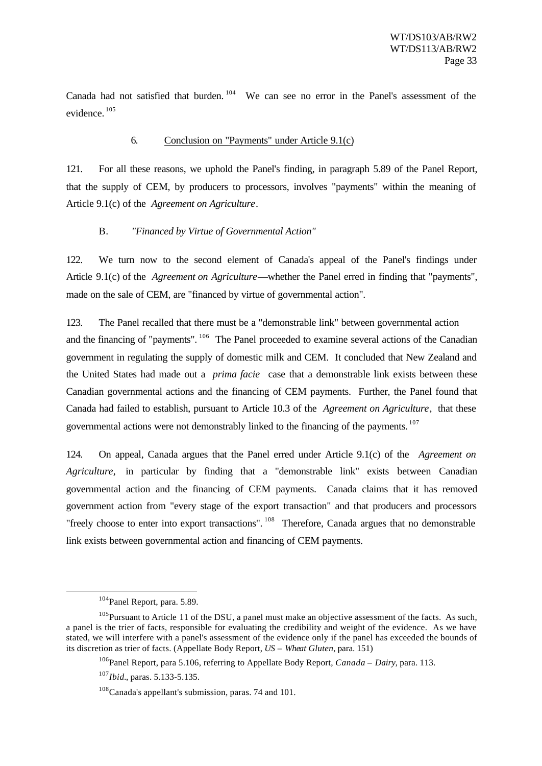Canada had not satisfied that burden.  $104$  We can see no error in the Panel's assessment of the evidence.<sup>105</sup>

#### 6. Conclusion on "Payments" under Article 9.1(c)

121. For all these reasons, we uphold the Panel's finding, in paragraph 5.89 of the Panel Report, that the supply of CEM, by producers to processors, involves "payments" within the meaning of Article 9.1(c) of the *Agreement on Agriculture*.

# B. *"Financed by Virtue of Governmental Action"*

122. We turn now to the second element of Canada's appeal of the Panel's findings under Article 9.1(c) of the *Agreement on Agriculture*—whether the Panel erred in finding that "payments", made on the sale of CEM, are "financed by virtue of governmental action".

123. The Panel recalled that there must be a "demonstrable link" between governmental action and the financing of "payments". <sup>106</sup> The Panel proceeded to examine several actions of the Canadian government in regulating the supply of domestic milk and CEM. It concluded that New Zealand and the United States had made out a *prima facie* case that a demonstrable link exists between these Canadian governmental actions and the financing of CEM payments. Further, the Panel found that Canada had failed to establish, pursuant to Article 10.3 of the *Agreement on Agriculture*, that these governmental actions were not demonstrably linked to the financing of the payments. <sup>107</sup>

124. On appeal, Canada argues that the Panel erred under Article 9.1(c) of the *Agreement on Agriculture*, in particular by finding that a "demonstrable link" exists between Canadian governmental action and the financing of CEM payments. Canada claims that it has removed government action from "every stage of the export transaction" and that producers and processors "freely choose to enter into export transactions".  $108$  Therefore, Canada argues that no demonstrable link exists between governmental action and financing of CEM payments.

 <sup>104</sup>Panel Report, para. 5.89.

<sup>&</sup>lt;sup>105</sup>Pursuant to Article 11 of the DSU, a panel must make an objective assessment of the facts. As such, a panel is the trier of facts, responsible for evaluating the credibility and weight of the evidence. As we have stated, we will interfere with a panel's assessment of the evidence only if the panel has exceeded the bounds of its discretion as trier of facts. (Appellate Body Report, *US – Wheat Gluten*, para. 151)

<sup>106</sup>Panel Report, para 5.106, referring to Appellate Body Report, *Canada – Dairy*, para. 113.

<sup>107</sup>*Ibid.*, paras. 5.133-5.135.

<sup>&</sup>lt;sup>108</sup>Canada's appellant's submission, paras. 74 and 101.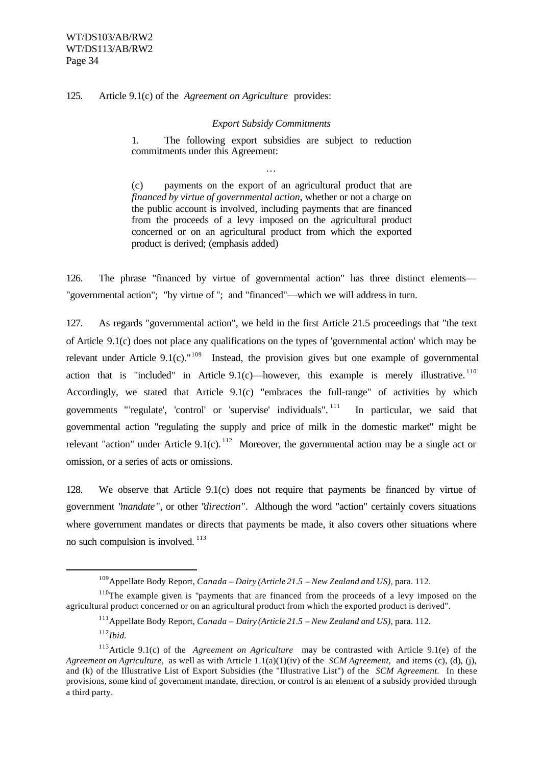l

#### 125. Article 9.1(c) of the *Agreement on Agriculture* provides:

#### *Export Subsidy Commitments*

1. The following export subsidies are subject to reduction commitments under this Agreement:

…

(c) payments on the export of an agricultural product that are *financed by virtue of governmental action*, whether or not a charge on the public account is involved, including payments that are financed from the proceeds of a levy imposed on the agricultural product concerned or on an agricultural product from which the exported product is derived; (emphasis added)

126. The phrase "financed by virtue of governmental action" has three distinct elements— "governmental action"; "by virtue of "; and "financed"—which we will address in turn.

127. As regards "governmental action", we held in the first Article 21.5 proceedings that "the text of Article 9.1(c) does not place any qualifications on the types of 'governmental action' which may be relevant under Article 9.1(c)."<sup>109</sup> Instead, the provision gives but one example of governmental action that is "included" in Article  $9.1(c)$ —however, this example is merely illustrative. <sup>110</sup> Accordingly, we stated that Article 9.1(c) "embraces the full-range" of activities by which governments "'regulate', 'control' or 'supervise' individuals".<sup>111</sup> In particular, we said that governmental action "regulating the supply and price of milk in the domestic market" might be relevant "action" under Article 9.1(c). <sup>112</sup> Moreover, the governmental action may be a single act or omission, or a series of acts or omissions.

128. We observe that Article 9.1(c) does not require that payments be financed by virtue of government "*mandate* ", or other "*direction*". Although the word "action" certainly covers situations where government mandates or directs that payments be made, it also covers other situations where no such compulsion is involved. <sup>113</sup>

<sup>109</sup>Appellate Body Report, *Canada – Dairy (Article 21.5 – New Zealand and US)*, para. 112.

 $110$ The example given is "payments that are financed from the proceeds of a levy imposed on the agricultural product concerned or on an agricultural product from which the exported product is derived".

<sup>111</sup>Appellate Body Report, *Canada – Dairy (Article 21.5 – New Zealand and US)*, para. 112. <sup>112</sup>*Ibid.*

<sup>113</sup>Article 9.1(c) of the *Agreement on Agriculture* may be contrasted with Article 9.1(e) of the *Agreement on Agriculture*, as well as with Article 1.1(a)(1)(iv) of the *SCM Agreement*, and items (c), (d), (j), and (k) of the Illustrative List of Export Subsidies (the "Illustrative List") of the *SCM Agreement*. In these provisions, some kind of government mandate, direction, or control is an element of a subsidy provided through a third party.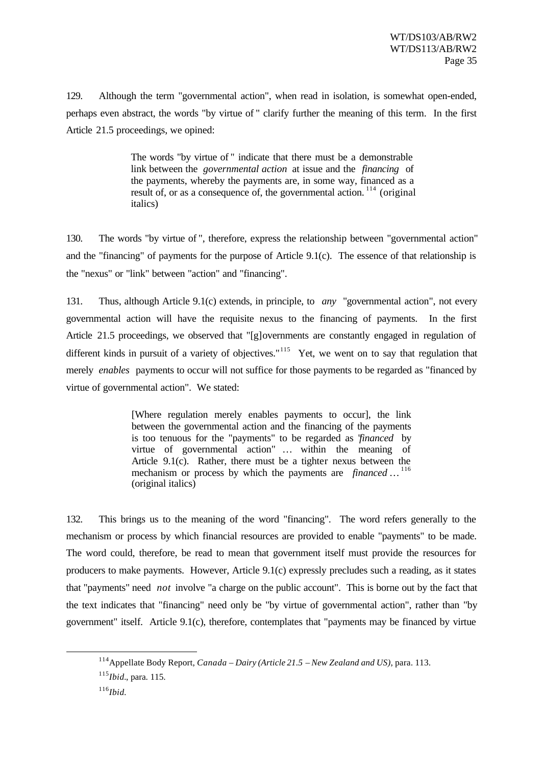129. Although the term "governmental action", when read in isolation, is somewhat open-ended, perhaps even abstract, the words "by virtue of " clarify further the meaning of this term. In the first Article 21.5 proceedings, we opined:

> The words "by virtue of " indicate that there must be a demonstrable link between the *governmental action* at issue and the *financing* of the payments, whereby the payments are, in some way, financed as a result of, or as a consequence of, the governmental action.  $114$  (original italics)

130. The words "by virtue of ", therefore, express the relationship between "governmental action" and the "financing" of payments for the purpose of Article 9.1(c). The essence of that relationship is the "nexus" or "link" between "action" and "financing".

131. Thus, although Article 9.1(c) extends, in principle, to *any* "governmental action", not every governmental action will have the requisite nexus to the financing of payments. In the first Article 21.5 proceedings, we observed that "[g]overnments are constantly engaged in regulation of different kinds in pursuit of a variety of objectives."<sup>115</sup> Yet, we went on to say that regulation that merely *enables* payments to occur will not suffice for those payments to be regarded as "financed by virtue of governmental action". We stated:

> [Where regulation merely enables payments to occur], the link between the governmental action and the financing of the payments is too tenuous for the "payments" to be regarded as "*financed* by virtue of governmental action" … within the meaning of Article 9.1(c). Rather, there must be a tighter nexus between the mechanism or process by which the payments are *financed* ...<sup>116</sup> (original italics)

132. This brings us to the meaning of the word "financing". The word refers generally to the mechanism or process by which financial resources are provided to enable "payments" to be made. The word could, therefore, be read to mean that government itself must provide the resources for producers to make payments. However, Article 9.1(c) expressly precludes such a reading, as it states that "payments" need *not* involve "a charge on the public account". This is borne out by the fact that the text indicates that "financing" need only be "by virtue of governmental action", rather than "by government" itself. Article 9.1(c), therefore, contemplates that "payments may be financed by virtue

<sup>114</sup>Appellate Body Report, *Canada – Dairy (Article 21.5 – New Zealand and US)*, para. 113.

<sup>115</sup>*Ibid.*, para. 115.

<sup>116</sup>*Ibid.*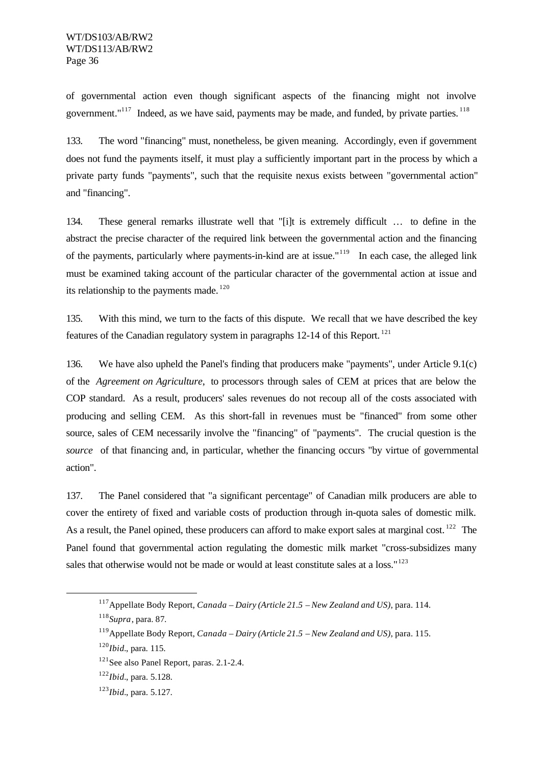of governmental action even though significant aspects of the financing might not involve government." $117$  Indeed, as we have said, payments may be made, and funded, by private parties.  $118$ 

133. The word "financing" must, nonetheless, be given meaning. Accordingly, even if government does not fund the payments itself, it must play a sufficiently important part in the process by which a private party funds "payments", such that the requisite nexus exists between "governmental action" and "financing".

134. These general remarks illustrate well that "[i]t is extremely difficult … to define in the abstract the precise character of the required link between the governmental action and the financing of the payments, particularly where payments-in-kind are at issue."<sup>119</sup> In each case, the alleged link must be examined taking account of the particular character of the governmental action at issue and its relationship to the payments made.  $120$ 

135. With this mind, we turn to the facts of this dispute. We recall that we have described the key features of the Canadian regulatory system in paragraphs 12-14 of this Report. <sup>121</sup>

136. We have also upheld the Panel's finding that producers make "payments", under Article 9.1(c) of the *Agreement on Agriculture*, to processors through sales of CEM at prices that are below the COP standard. As a result, producers' sales revenues do not recoup all of the costs associated with producing and selling CEM. As this short-fall in revenues must be "financed" from some other source, sales of CEM necessarily involve the "financing" of "payments". The crucial question is the *source* of that financing and, in particular, whether the financing occurs "by virtue of governmental action".

137. The Panel considered that "a significant percentage" of Canadian milk producers are able to cover the entirety of fixed and variable costs of production through in-quota sales of domestic milk. As a result, the Panel opined, these producers can afford to make export sales at marginal cost.<sup>122</sup> The Panel found that governmental action regulating the domestic milk market "cross-subsidizes many sales that otherwise would not be made or would at least constitute sales at a loss."<sup>123</sup>

<sup>117</sup>Appellate Body Report, *Canada – Dairy (Article 21.5 – New Zealand and US)*, para. 114.

<sup>118</sup>*Supra*, para. 87.

<sup>119</sup>Appellate Body Report, *Canada – Dairy (Article 21.5 – New Zealand and US)*, para. 115.

<sup>120</sup>*Ibid.*, para. 115.

<sup>&</sup>lt;sup>121</sup>See also Panel Report, paras. 2.1-2.4.

<sup>122</sup>*Ibid.*, para. 5.128.

<sup>123</sup>*Ibid.*, para. 5.127.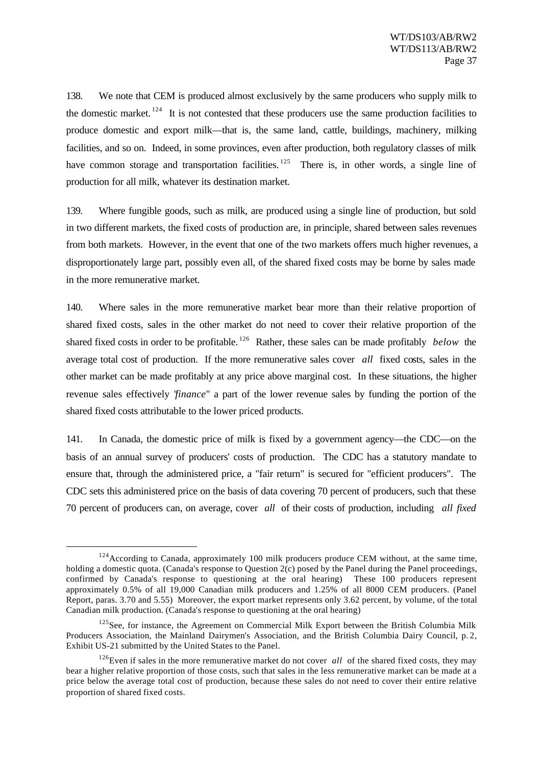138. We note that CEM is produced almost exclusively by the same producers who supply milk to the domestic market.  $124$  It is not contested that these producers use the same production facilities to produce domestic and export milk—that is, the same land, cattle, buildings, machinery, milking facilities, and so on. Indeed, in some provinces, even after production, both regulatory classes of milk have common storage and transportation facilities. <sup>125</sup> There is, in other words, a single line of production for all milk, whatever its destination market.

139. Where fungible goods, such as milk, are produced using a single line of production, but sold in two different markets, the fixed costs of production are, in principle, shared between sales revenues from both markets. However, in the event that one of the two markets offers much higher revenues, a disproportionately large part, possibly even all, of the shared fixed costs may be borne by sales made in the more remunerative market.

140. Where sales in the more remunerative market bear more than their relative proportion of shared fixed costs, sales in the other market do not need to cover their relative proportion of the shared fixed costs in order to be profitable.<sup>126</sup> Rather, these sales can be made profitably *below* the average total cost of production. If the more remunerative sales cover *all* fixed costs, sales in the other market can be made profitably at any price above marginal cost. In these situations, the higher revenue sales effectively "*finance*" a part of the lower revenue sales by funding the portion of the shared fixed costs attributable to the lower priced products.

141. In Canada, the domestic price of milk is fixed by a government agency—the CDC—on the basis of an annual survey of producers' costs of production. The CDC has a statutory mandate to ensure that, through the administered price, a "fair return" is secured for "efficient producers". The CDC sets this administered price on the basis of data covering 70 percent of producers, such that these 70 percent of producers can, on average, cover *all* of their costs of production, including *all fixed*

<sup>&</sup>lt;sup>124</sup> According to Canada, approximately 100 milk producers produce CEM without, at the same time, holding a domestic quota. (Canada's response to Question 2(c) posed by the Panel during the Panel proceedings, confirmed by Canada's response to questioning at the oral hearing) These 100 producers represent approximately 0.5% of all 19,000 Canadian milk producers and 1.25% of all 8000 CEM producers. (Panel Report, paras. 3.70 and 5.55) Moreover, the export market represents only 3.62 percent, by volume, of the total Canadian milk production. (Canada's response to questioning at the oral hearing)

 $125$ See, for instance, the Agreement on Commercial Milk Export between the British Columbia Milk Producers Association, the Mainland Dairymen's Association, and the British Columbia Dairy Council, p. 2, Exhibit US-21 submitted by the United States to the Panel.

<sup>&</sup>lt;sup>126</sup>Even if sales in the more remunerative market do not cover *all* of the shared fixed costs, they may bear a higher relative proportion of those costs, such that sales in the less remunerative market can be made at a price below the average total cost of production, because these sales do not need to cover their entire relative proportion of shared fixed costs.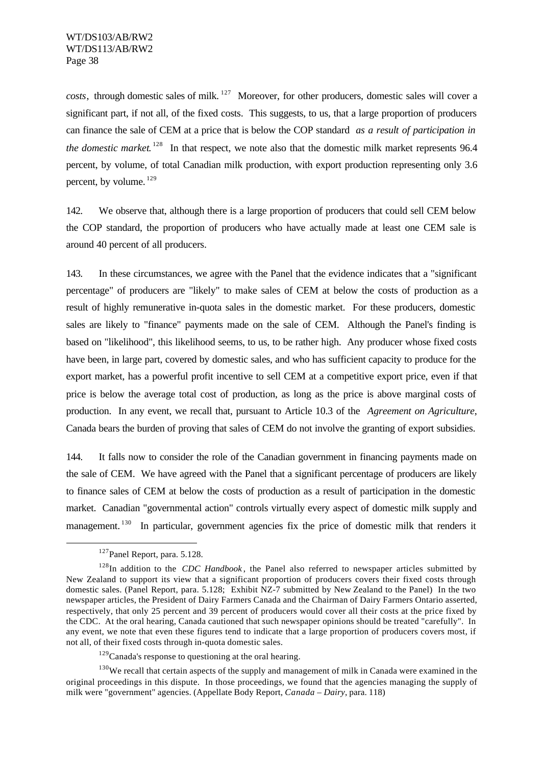*costs*, through domestic sales of milk. <sup>127</sup> Moreover, for other producers, domestic sales will cover a significant part, if not all, of the fixed costs. This suggests, to us, that a large proportion of producers can finance the sale of CEM at a price that is below the COP standard *as a result of participation in the domestic market*. <sup>128</sup> In that respect, we note also that the domestic milk market represents 96.4 percent, by volume, of total Canadian milk production, with export production representing only 3.6 percent, by volume.  $129$ 

142. We observe that, although there is a large proportion of producers that could sell CEM below the COP standard, the proportion of producers who have actually made at least one CEM sale is around 40 percent of all producers.

143. In these circumstances, we agree with the Panel that the evidence indicates that a "significant percentage" of producers are "likely" to make sales of CEM at below the costs of production as a result of highly remunerative in-quota sales in the domestic market. For these producers, domestic sales are likely to "finance" payments made on the sale of CEM. Although the Panel's finding is based on "likelihood", this likelihood seems, to us, to be rather high. Any producer whose fixed costs have been, in large part, covered by domestic sales, and who has sufficient capacity to produce for the export market, has a powerful profit incentive to sell CEM at a competitive export price, even if that price is below the average total cost of production, as long as the price is above marginal costs of production. In any event, we recall that, pursuant to Article 10.3 of the *Agreement on Agriculture*, Canada bears the burden of proving that sales of CEM do not involve the granting of export subsidies.

144. It falls now to consider the role of the Canadian government in financing payments made on the sale of CEM. We have agreed with the Panel that a significant percentage of producers are likely to finance sales of CEM at below the costs of production as a result of participation in the domestic market. Canadian "governmental action" controls virtually every aspect of domestic milk supply and management.<sup>130</sup> In particular, government agencies fix the price of domestic milk that renders it

l

 $129$ Canada's response to questioning at the oral hearing.

<sup>130</sup>We recall that certain aspects of the supply and management of milk in Canada were examined in the original proceedings in this dispute. In those proceedings, we found that the agencies managing the supply of milk were "government" agencies. (Appellate Body Report, *Canada – Dairy*, para. 118)

<sup>127</sup>Panel Report, para. 5.128.

<sup>&</sup>lt;sup>128</sup>In addition to the *CDC Handbook*, the Panel also referred to newspaper articles submitted by New Zealand to support its view that a significant proportion of producers covers their fixed costs through domestic sales. (Panel Report, para. 5.128; Exhibit NZ-7 submitted by New Zealand to the Panel) In the two newspaper articles, the President of Dairy Farmers Canada and the Chairman of Dairy Farmers Ontario asserted, respectively, that only 25 percent and 39 percent of producers would cover all their costs at the price fixed by the CDC. At the oral hearing, Canada cautioned that such newspaper opinions should be treated "carefully". In any event, we note that even these figures tend to indicate that a large proportion of producers covers most, if not all, of their fixed costs through in-quota domestic sales.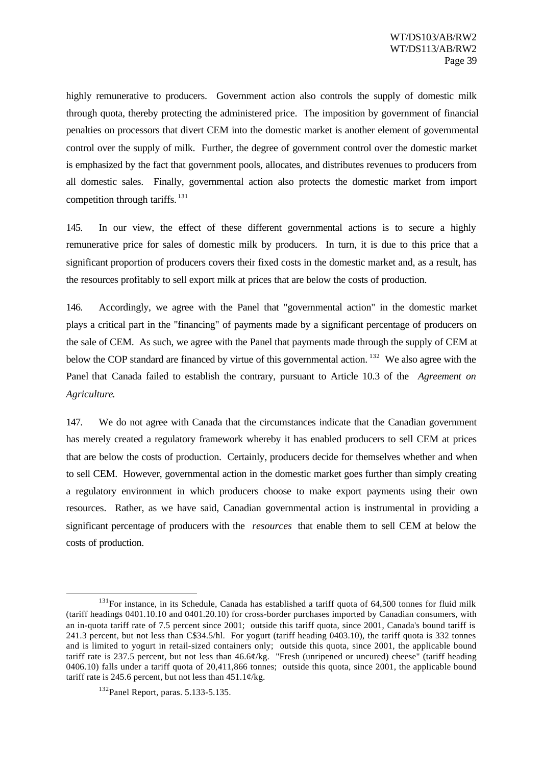highly remunerative to producers. Government action also controls the supply of domestic milk through quota, thereby protecting the administered price. The imposition by government of financial penalties on processors that divert CEM into the domestic market is another element of governmental control over the supply of milk. Further, the degree of government control over the domestic market is emphasized by the fact that government pools, allocates, and distributes revenues to producers from all domestic sales. Finally, governmental action also protects the domestic market from import competition through tariffs.<sup>131</sup>

145. In our view, the effect of these different governmental actions is to secure a highly remunerative price for sales of domestic milk by producers. In turn, it is due to this price that a significant proportion of producers covers their fixed costs in the domestic market and, as a result, has the resources profitably to sell export milk at prices that are below the costs of production.

146. Accordingly, we agree with the Panel that "governmental action" in the domestic market plays a critical part in the "financing" of payments made by a significant percentage of producers on the sale of CEM. As such, we agree with the Panel that payments made through the supply of CEM at below the COP standard are financed by virtue of this governmental action.<sup>132</sup> We also agree with the Panel that Canada failed to establish the contrary, pursuant to Article 10.3 of the *Agreement on Agriculture*.

147. We do not agree with Canada that the circumstances indicate that the Canadian government has merely created a regulatory framework whereby it has enabled producers to sell CEM at prices that are below the costs of production. Certainly, producers decide for themselves whether and when to sell CEM. However, governmental action in the domestic market goes further than simply creating a regulatory environment in which producers choose to make export payments using their own resources. Rather, as we have said, Canadian governmental action is instrumental in providing a significant percentage of producers with the *resources* that enable them to sell CEM at below the costs of production.

<sup>&</sup>lt;sup>131</sup>For instance, in its Schedule, Canada has established a tariff quota of 64,500 tonnes for fluid milk (tariff headings 0401.10.10 and 0401.20.10) for cross-border purchases imported by Canadian consumers, with an in-quota tariff rate of 7.5 percent since 2001; outside this tariff quota, since 2001, Canada's bound tariff is 241.3 percent, but not less than C\$34.5/hl. For yogurt (tariff heading 0403.10), the tariff quota is 332 tonnes and is limited to yogurt in retail-sized containers only; outside this quota, since 2001, the applicable bound tariff rate is 237.5 percent, but not less than 46.6¢/kg. "Fresh (unripened or uncured) cheese" (tariff heading 0406.10) falls under a tariff quota of 20,411,866 tonnes; outside this quota, since 2001, the applicable bound tariff rate is 245.6 percent, but not less than  $451.1\frac{\epsilon}{kg}$ .

<sup>132</sup>Panel Report, paras. 5.133-5.135.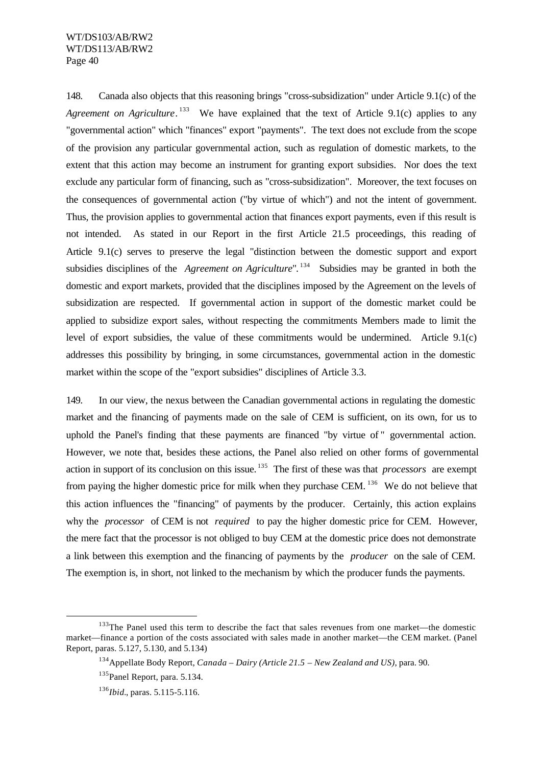148. Canada also objects that this reasoning brings "cross-subsidization" under Article 9.1(c) of the Agreement on Agriculture.<sup>133</sup> We have explained that the text of Article 9.1(c) applies to any "governmental action" which "finances" export "payments". The text does not exclude from the scope of the provision any particular governmental action, such as regulation of domestic markets, to the extent that this action may become an instrument for granting export subsidies. Nor does the text exclude any particular form of financing, such as "cross-subsidization". Moreover, the text focuses on the consequences of governmental action ("by virtue of which") and not the intent of government. Thus, the provision applies to governmental action that finances export payments, even if this result is not intended. As stated in our Report in the first Article 21.5 proceedings, this reading of Article 9.1(c) serves to preserve the legal "distinction between the domestic support and export subsidies disciplines of the *Agreement on Agriculture*".<sup>134</sup> Subsidies may be granted in both the domestic and export markets, provided that the disciplines imposed by the Agreement on the levels of subsidization are respected. If governmental action in support of the domestic market could be applied to subsidize export sales, without respecting the commitments Members made to limit the level of export subsidies, the value of these commitments would be undermined. Article 9.1(c) addresses this possibility by bringing, in some circumstances, governmental action in the domestic market within the scope of the "export subsidies" disciplines of Article 3.3.

149. In our view, the nexus between the Canadian governmental actions in regulating the domestic market and the financing of payments made on the sale of CEM is sufficient, on its own, for us to uphold the Panel's finding that these payments are financed "by virtue of " governmental action. However, we note that, besides these actions, the Panel also relied on other forms of governmental action in support of its conclusion on this issue. <sup>135</sup> The first of these was that *processors* are exempt from paying the higher domestic price for milk when they purchase CEM.<sup>136</sup> We do not believe that this action influences the "financing" of payments by the producer. Certainly, this action explains why the *processor* of CEM is not *required* to pay the higher domestic price for CEM. However, the mere fact that the processor is not obliged to buy CEM at the domestic price does not demonstrate a link between this exemption and the financing of payments by the *producer* on the sale of CEM. The exemption is, in short, not linked to the mechanism by which the producer funds the payments.

<sup>&</sup>lt;sup>133</sup>The Panel used this term to describe the fact that sales revenues from one market—the domestic market—finance a portion of the costs associated with sales made in another market—the CEM market. (Panel Report, paras. 5.127, 5.130, and 5.134)

<sup>134</sup>Appellate Body Report, *Canada – Dairy (Article 21.5 – New Zealand and US)*, para. 90.

<sup>&</sup>lt;sup>135</sup>Panel Report, para. 5.134.

<sup>136</sup>*Ibid.*, paras. 5.115-5.116.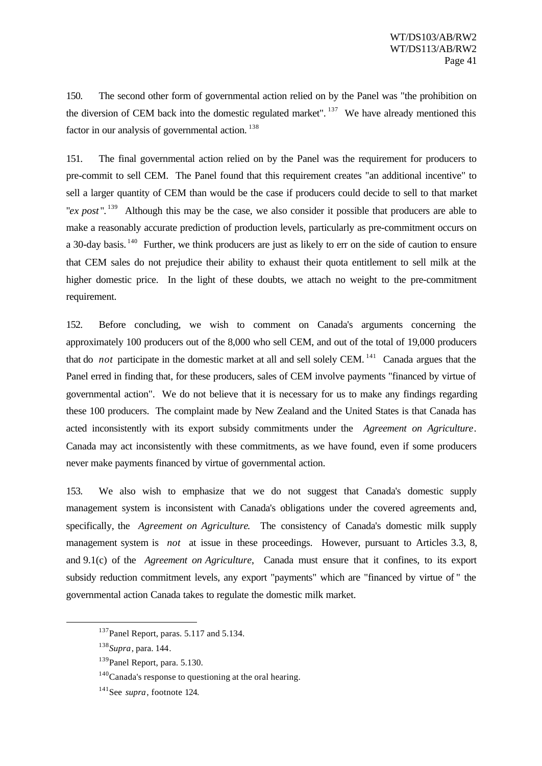150. The second other form of governmental action relied on by the Panel was "the prohibition on the diversion of CEM back into the domestic regulated market".<sup>137</sup> We have already mentioned this factor in our analysis of governmental action.<sup>138</sup>

151. The final governmental action relied on by the Panel was the requirement for producers to pre-commit to sell CEM. The Panel found that this requirement creates "an additional incentive" to sell a larger quantity of CEM than would be the case if producers could decide to sell to that market "*ex post*".<sup>139</sup> Although this may be the case, we also consider it possible that producers are able to make a reasonably accurate prediction of production levels, particularly as pre-commitment occurs on a 30-day basis.<sup>140</sup> Further, we think producers are just as likely to err on the side of caution to ensure that CEM sales do not prejudice their ability to exhaust their quota entitlement to sell milk at the higher domestic price. In the light of these doubts, we attach no weight to the pre-commitment requirement.

152. Before concluding, we wish to comment on Canada's arguments concerning the approximately 100 producers out of the 8,000 who sell CEM, and out of the total of 19,000 producers that do *not* participate in the domestic market at all and sell solely CEM. <sup>141</sup> Canada argues that the Panel erred in finding that, for these producers, sales of CEM involve payments "financed by virtue of governmental action". We do not believe that it is necessary for us to make any findings regarding these 100 producers. The complaint made by New Zealand and the United States is that Canada has acted inconsistently with its export subsidy commitments under the *Agreement on Agriculture*. Canada may act inconsistently with these commitments, as we have found, even if some producers never make payments financed by virtue of governmental action.

153. We also wish to emphasize that we do not suggest that Canada's domestic supply management system is inconsistent with Canada's obligations under the covered agreements and, specifically, the *Agreement on Agriculture*. The consistency of Canada's domestic milk supply management system is *not* at issue in these proceedings. However, pursuant to Articles 3.3, 8, and 9.1(c) of the *Agreement on Agriculture*, Canada must ensure that it confines, to its export subsidy reduction commitment levels, any export "payments" which are "financed by virtue of " the governmental action Canada takes to regulate the domestic milk market.

<sup>&</sup>lt;sup>137</sup>Panel Report, paras. 5.117 and 5.134.

<sup>138</sup>*Supra*, para. 144.

<sup>&</sup>lt;sup>139</sup>Panel Report, para. 5.130.

 $140$ Canada's response to questioning at the oral hearing.

<sup>141</sup>See *supra*, footnote 124.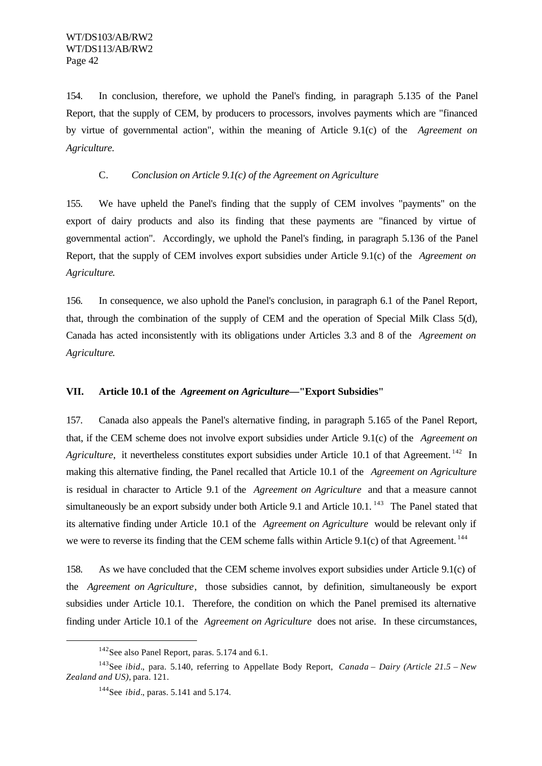154. In conclusion, therefore, we uphold the Panel's finding, in paragraph 5.135 of the Panel Report, that the supply of CEM, by producers to processors, involves payments which are "financed by virtue of governmental action", within the meaning of Article 9.1(c) of the *Agreement on Agriculture.*

#### C. *Conclusion on Article 9.1(c) of the Agreement on Agriculture*

155. We have upheld the Panel's finding that the supply of CEM involves "payments" on the export of dairy products and also its finding that these payments are "financed by virtue of governmental action". Accordingly, we uphold the Panel's finding, in paragraph 5.136 of the Panel Report, that the supply of CEM involves export subsidies under Article 9.1(c) of the *Agreement on Agriculture*.

156. In consequence, we also uphold the Panel's conclusion, in paragraph 6.1 of the Panel Report, that, through the combination of the supply of CEM and the operation of Special Milk Class 5(d), Canada has acted inconsistently with its obligations under Articles 3.3 and 8 of the *Agreement on Agriculture*.

# **VII. Article 10.1 of the** *Agreement on Agriculture—***"Export Subsidies"**

157. Canada also appeals the Panel's alternative finding, in paragraph 5.165 of the Panel Report, that, if the CEM scheme does not involve export subsidies under Article 9.1(c) of the *Agreement on Agriculture*, it nevertheless constitutes export subsidies under Article 10.1 of that Agreement.<sup>142</sup> In making this alternative finding, the Panel recalled that Article 10.1 of the *Agreement on Agriculture* is residual in character to Article 9.1 of the *Agreement on Agriculture* and that a measure cannot simultaneously be an export subsidy under both Article 9.1 and Article 10.1.<sup>143</sup> The Panel stated that its alternative finding under Article 10.1 of the *Agreement on Agriculture* would be relevant only if we were to reverse its finding that the CEM scheme falls within Article 9.1(c) of that Agreement.  $^{144}$ 

158. As we have concluded that the CEM scheme involves export subsidies under Article 9.1(c) of the *Agreement on Agriculture*, those subsidies cannot, by definition, simultaneously be export subsidies under Article 10.1. Therefore, the condition on which the Panel premised its alternative finding under Article 10.1 of the *Agreement on Agriculture* does not arise. In these circumstances,

<sup>&</sup>lt;sup>142</sup>See also Panel Report, paras. 5.174 and 6.1.

<sup>143</sup>See *ibid.*, para. 5.140, referring to Appellate Body Report, *Canada – Dairy (Article 21.5 – New Zealand and US)*, para. 121.

<sup>144</sup>See *ibid.*, paras. 5.141 and 5.174.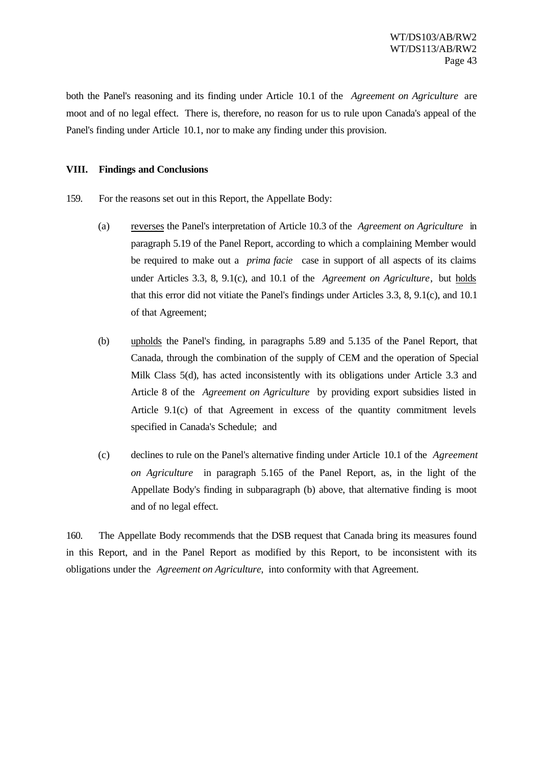both the Panel's reasoning and its finding under Article 10.1 of the *Agreement on Agriculture* are moot and of no legal effect. There is, therefore, no reason for us to rule upon Canada's appeal of the Panel's finding under Article 10.1, nor to make any finding under this provision.

#### **VIII. Findings and Conclusions**

- 159. For the reasons set out in this Report, the Appellate Body:
	- (a) reverses the Panel's interpretation of Article 10.3 of the *Agreement on Agriculture* in paragraph 5.19 of the Panel Report, according to which a complaining Member would be required to make out a *prima facie* case in support of all aspects of its claims under Articles 3.3, 8, 9.1(c), and 10.1 of the *Agreement on Agriculture*, but holds that this error did not vitiate the Panel's findings under Articles 3.3, 8, 9.1(c), and 10.1 of that Agreement;
	- (b) upholds the Panel's finding, in paragraphs 5.89 and 5.135 of the Panel Report, that Canada, through the combination of the supply of CEM and the operation of Special Milk Class 5(d), has acted inconsistently with its obligations under Article 3.3 and Article 8 of the *Agreement on Agriculture* by providing export subsidies listed in Article 9.1(c) of that Agreement in excess of the quantity commitment levels specified in Canada's Schedule; and
	- (c) declines to rule on the Panel's alternative finding under Article 10.1 of the *Agreement on Agriculture* in paragraph 5.165 of the Panel Report, as, in the light of the Appellate Body's finding in subparagraph (b) above, that alternative finding is moot and of no legal effect.

160. The Appellate Body recommends that the DSB request that Canada bring its measures found in this Report, and in the Panel Report as modified by this Report, to be inconsistent with its obligations under the *Agreement on Agriculture*, into conformity with that Agreement.